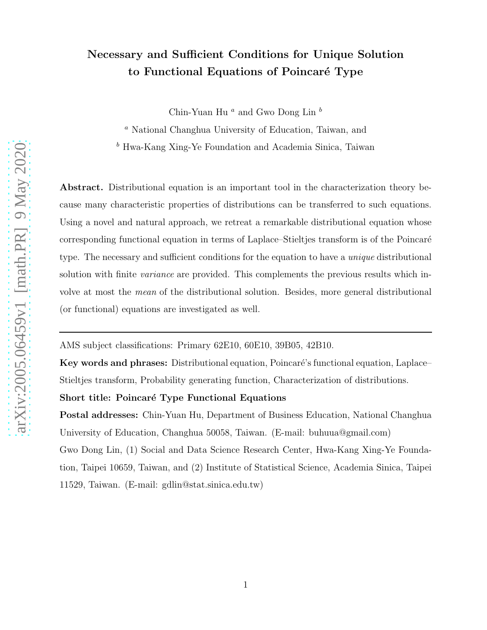# Necessary and Sufficient Conditions for Unique Solution to Functional Equations of Poincaré Type

Chin-Yuan Hu<sup>a</sup> and Gwo Dong Lin<sup>b</sup>

<sup>a</sup> National Changhua University of Education, Taiwan, and

<sup>b</sup> Hwa-Kang Xing-Ye Foundation and Academia Sinica, Taiwan

Abstract. Distributional equation is an important tool in the characterization theory because many characteristic properties of distributions can be transferred to such equations. Using a novel and natural approach, we retreat a remarkable distributional equation whose corresponding functional equation in terms of Laplace–Stieltjes transform is of the Poincar´e type. The necessary and sufficient conditions for the equation to have a *unique* distributional solution with finite *variance* are provided. This complements the previous results which involve at most the mean of the distributional solution. Besides, more general distributional (or functional) equations are investigated as well.

AMS subject classifications: Primary 62E10, 60E10, 39B05, 42B10.

Key words and phrases: Distributional equation, Poincaré's functional equation, Laplace– Stieltjes transform, Probability generating function, Characterization of distributions.

## Short title: Poincaré Type Functional Equations

Postal addresses: Chin-Yuan Hu, Department of Business Education, National Changhua University of Education, Changhua 50058, Taiwan. (E-mail: buhuua@gmail.com) Gwo Dong Lin, (1) Social and Data Science Research Center, Hwa-Kang Xing-Ye Foundation, Taipei 10659, Taiwan, and (2) Institute of Statistical Science, Academia Sinica, Taipei 11529, Taiwan. (E-mail: gdlin@stat.sinica.edu.tw)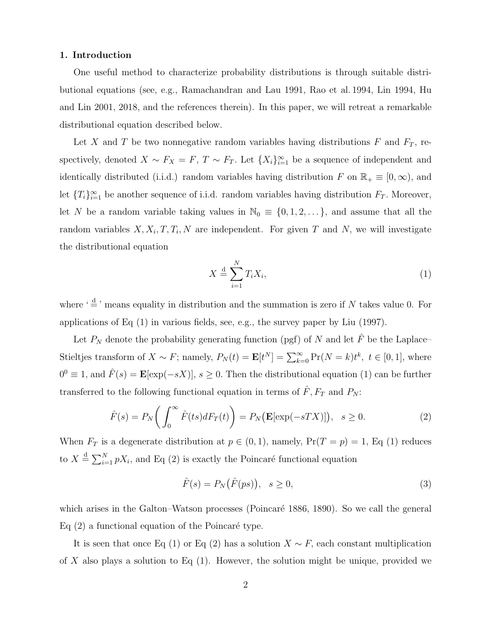## 1. Introduction

One useful method to characterize probability distributions is through suitable distributional equations (see, e.g., Ramachandran and Lau 1991, Rao et al. 1994, Lin 1994, Hu and Lin 2001, 2018, and the references therein). In this paper, we will retreat a remarkable distributional equation described below.

Let X and T be two nonnegative random variables having distributions F and  $F_T$ , respectively, denoted  $X \sim F_X = F$ ,  $T \sim F_T$ . Let  $\{X_i\}_{i=1}^{\infty}$  be a sequence of independent and identically distributed (i.i.d.) random variables having distribution F on  $\mathbb{R}_+ \equiv [0, \infty)$ , and let  $\{T_i\}_{i=1}^{\infty}$  be another sequence of i.i.d. random variables having distribution  $F_T$ . Moreover, let N be a random variable taking values in  $\mathbb{N}_0 \equiv \{0, 1, 2, \ldots\}$ , and assume that all the random variables  $X, X_i, T, T_i, N$  are independent. For given T and N, we will investigate the distributional equation

$$
X \stackrel{\text{d}}{=} \sum_{i=1}^{N} T_i X_i,\tag{1}
$$

where  $\frac{d}{dx}$  means equality in distribution and the summation is zero if N takes value 0. For applications of Eq (1) in various fields, see, e.g., the survey paper by Liu (1997).

Let  $P_N$  denote the probability generating function (pgf) of N and let  $\hat{F}$  be the Laplace– Stieltjes transform of  $X \sim F$ ; namely,  $P_N(t) = \mathbf{E}[t^N] = \sum_{k=0}^{\infty} Pr(N = k)t^k$ ,  $t \in [0, 1]$ , where  $0^0 \equiv 1$ , and  $\hat{F}(s) = \mathbf{E}[\exp(-sX)], s \ge 0.$  Then the distributional equation (1) can be further transferred to the following functional equation in terms of  $\hat{F}$ ,  $F_T$  and  $P_N$ :

$$
\hat{F}(s) = P_N\bigg(\int_0^\infty \hat{F}(ts) dF_T(t)\bigg) = P_N\big(\mathbf{E}[\exp(-sTX)]\big), \ \ s \ge 0. \tag{2}
$$

When  $F_T$  is a degenerate distribution at  $p \in (0, 1)$ , namely,  $Pr(T = p) = 1$ , Eq (1) reduces to  $X \triangleq \sum_{i=1}^{N} pX_i$ , and Eq (2) is exactly the Poincaré functional equation

$$
\hat{F}(s) = P_N(\hat{F}(ps)), \quad s \ge 0,
$$
\n(3)

which arises in the Galton–Watson processes (Poincaré 1886, 1890). So we call the general Eq  $(2)$  a functional equation of the Poincaré type.

It is seen that once Eq (1) or Eq (2) has a solution  $X \sim F$ , each constant multiplication of X also plays a solution to Eq  $(1)$ . However, the solution might be unique, provided we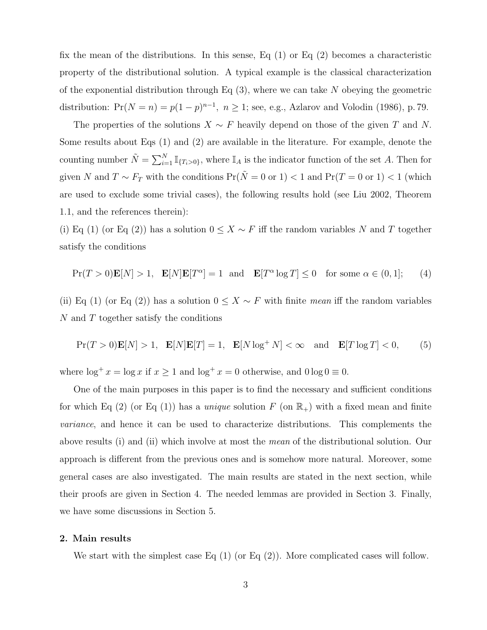fix the mean of the distributions. In this sense, Eq  $(1)$  or Eq  $(2)$  becomes a characteristic property of the distributional solution. A typical example is the classical characterization of the exponential distribution through Eq  $(3)$ , where we can take N obeying the geometric distribution:  $Pr(N = n) = p(1 - p)^{n-1}$ ,  $n \ge 1$ ; see, e.g., Azlarov and Volodin (1986), p. 79.

The properties of the solutions  $X \sim F$  heavily depend on those of the given T and N. Some results about Eqs (1) and (2) are available in the literature. For example, denote the counting number  $\tilde{N} = \sum_{i=1}^{N} \mathbb{I}_{\{T_i > 0\}}$ , where  $\mathbb{I}_A$  is the indicator function of the set A. Then for given N and  $T \sim F_T$  with the conditions  $Pr(\tilde{N} = 0 \text{ or } 1) < 1$  and  $Pr(T = 0 \text{ or } 1) < 1$  (which are used to exclude some trivial cases), the following results hold (see Liu 2002, Theorem 1.1, and the references therein):

(i) Eq (1) (or Eq (2)) has a solution  $0 \leq X \sim F$  iff the random variables N and T together satisfy the conditions

$$
\Pr(T > 0)\mathbf{E}[N] > 1, \quad \mathbf{E}[N]\mathbf{E}[T^{\alpha}] = 1 \quad \text{and} \quad \mathbf{E}[T^{\alpha}\log T] \le 0 \quad \text{for some } \alpha \in (0, 1]; \tag{4}
$$

(ii) Eq (1) (or Eq (2)) has a solution  $0 \leq X \sim F$  with finite mean iff the random variables N and T together satisfy the conditions

$$
\Pr(T > 0)\mathbf{E}[N] > 1, \quad \mathbf{E}[N]\mathbf{E}[T] = 1, \quad \mathbf{E}[N\log^+ N] < \infty \quad \text{and} \quad \mathbf{E}[T\log T] < 0,\tag{5}
$$

where  $\log^+ x = \log x$  if  $x \ge 1$  and  $\log^+ x = 0$  otherwise, and  $0 \log 0 \equiv 0$ .

One of the main purposes in this paper is to find the necessary and sufficient conditions for which Eq (2) (or Eq (1)) has a *unique* solution F (on  $\mathbb{R}_+$ ) with a fixed mean and finite variance, and hence it can be used to characterize distributions. This complements the above results (i) and (ii) which involve at most the mean of the distributional solution. Our approach is different from the previous ones and is somehow more natural. Moreover, some general cases are also investigated. The main results are stated in the next section, while their proofs are given in Section 4. The needed lemmas are provided in Section 3. Finally, we have some discussions in Section 5.

#### 2. Main results

We start with the simplest case Eq  $(1)$  (or Eq  $(2)$ ). More complicated cases will follow.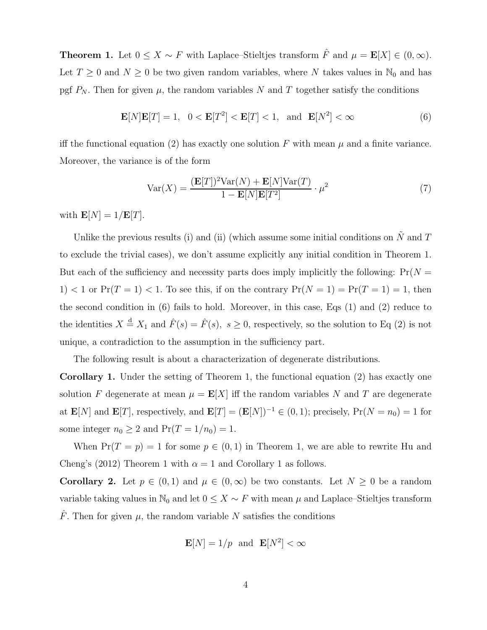**Theorem 1.** Let  $0 \leq X \sim F$  with Laplace–Stieltjes transform  $\hat{F}$  and  $\mu = \mathbf{E}[X] \in (0, \infty)$ . Let  $T \geq 0$  and  $N \geq 0$  be two given random variables, where N takes values in  $\mathbb{N}_0$  and has pgf  $P_N$ . Then for given  $\mu$ , the random variables N and T together satisfy the conditions

$$
\mathbf{E}[N]\mathbf{E}[T] = 1, \quad 0 < \mathbf{E}[T^2] < \mathbf{E}[T] < 1, \quad \text{and} \quad \mathbf{E}[N^2] < \infty \tag{6}
$$

iff the functional equation (2) has exactly one solution F with mean  $\mu$  and a finite variance. Moreover, the variance is of the form

$$
Var(X) = \frac{(\mathbf{E}[T])^2 Var(N) + \mathbf{E}[N]Var(T)}{1 - \mathbf{E}[N]\mathbf{E}[T^2]} \cdot \mu^2
$$
\n(7)

with  $\mathbf{E}[N] = 1/\mathbf{E}[T]$ .

Unlike the previous results (i) and (ii) (which assume some initial conditions on  $\tilde{N}$  and T to exclude the trivial cases), we don't assume explicitly any initial condition in Theorem 1. But each of the sufficiency and necessity parts does imply implicitly the following:  $Pr(N =$ 1) < 1 or  $Pr(T = 1)$  < 1. To see this, if on the contrary  $Pr(N = 1) = Pr(T = 1) = 1$ , then the second condition in (6) fails to hold. Moreover, in this case, Eqs (1) and (2) reduce to the identities  $X \stackrel{d}{=} X_1$  and  $\hat{F}(s) = \hat{F}(s)$ ,  $s \ge 0$ , respectively, so the solution to Eq (2) is not unique, a contradiction to the assumption in the sufficiency part.

The following result is about a characterization of degenerate distributions.

Corollary 1. Under the setting of Theorem 1, the functional equation (2) has exactly one solution F degenerate at mean  $\mu = \mathbf{E}[X]$  iff the random variables N and T are degenerate at  $\mathbf{E}[N]$  and  $\mathbf{E}[T]$ , respectively, and  $\mathbf{E}[T] = (\mathbf{E}[N])^{-1} \in (0,1)$ ; precisely,  $Pr(N = n_0) = 1$  for some integer  $n_0 \geq 2$  and  $Pr(T = 1/n_0) = 1$ .

When  $Pr(T = p) = 1$  for some  $p \in (0, 1)$  in Theorem 1, we are able to rewrite Hu and Cheng's (2012) Theorem 1 with  $\alpha = 1$  and Corollary 1 as follows.

**Corollary 2.** Let  $p \in (0,1)$  and  $\mu \in (0,\infty)$  be two constants. Let  $N \geq 0$  be a random variable taking values in  $\mathbb{N}_0$  and let  $0 \leq X \sim F$  with mean  $\mu$  and Laplace–Stieltjes transform  $\hat{F}$ . Then for given  $\mu$ , the random variable N satisfies the conditions

$$
\mathbf{E}[N] = 1/p \text{ and } \mathbf{E}[N^2] < \infty
$$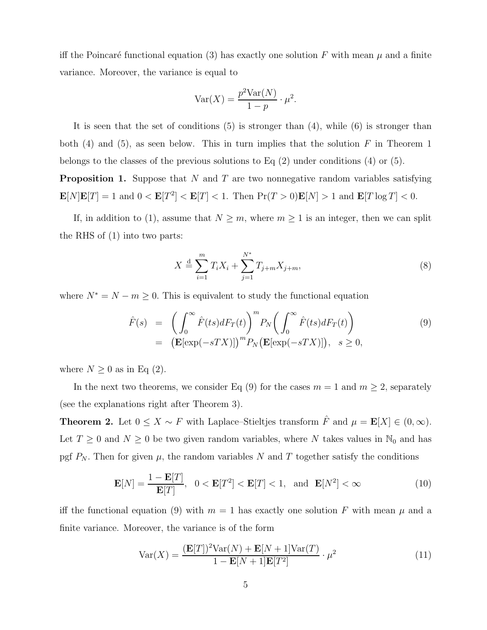iff the Poincaré functional equation (3) has exactly one solution F with mean  $\mu$  and a finite variance. Moreover, the variance is equal to

$$
Var(X) = \frac{p^2 Var(N)}{1 - p} \cdot \mu^2.
$$

It is seen that the set of conditions  $(5)$  is stronger than  $(4)$ , while  $(6)$  is stronger than both  $(4)$  and  $(5)$ , as seen below. This in turn implies that the solution F in Theorem 1 belongs to the classes of the previous solutions to Eq (2) under conditions (4) or (5).

**Proposition 1.** Suppose that  $N$  and  $T$  are two nonnegative random variables satisfying  $\mathbf{E}[N]\mathbf{E}[T] = 1$  and  $0 < \mathbf{E}[T^2] < \mathbf{E}[T] < 1$ . Then  $\Pr(T > 0)\mathbf{E}[N] > 1$  and  $\mathbf{E}[T \log T] < 0$ .

If, in addition to (1), assume that  $N \geq m$ , where  $m \geq 1$  is an integer, then we can split the RHS of (1) into two parts:

$$
X \stackrel{\text{d}}{=} \sum_{i=1}^{m} T_i X_i + \sum_{j=1}^{N^*} T_{j+m} X_{j+m}, \tag{8}
$$

where  $N^* = N - m \geq 0$ . This is equivalent to study the functional equation

$$
\hat{F}(s) = \left(\int_0^\infty \hat{F}(ts) dF_T(t)\right)^m P_N\left(\int_0^\infty \hat{F}(ts) dF_T(t)\right)
$$
\n
$$
= \left(\mathbf{E}[\exp(-sTX)]\right)^m P_N\left(\mathbf{E}[\exp(-sTX)]\right), \quad s \ge 0,
$$
\n(9)

where  $N \geq 0$  as in Eq (2).

In the next two theorems, we consider Eq (9) for the cases  $m = 1$  and  $m \ge 2$ , separately (see the explanations right after Theorem 3).

**Theorem 2.** Let  $0 \le X \sim F$  with Laplace–Stieltjes transform  $\hat{F}$  and  $\mu = \mathbf{E}[X] \in (0, \infty)$ . Let  $T \geq 0$  and  $N \geq 0$  be two given random variables, where N takes values in  $\mathbb{N}_0$  and has pgf  $P_N$ . Then for given  $\mu$ , the random variables N and T together satisfy the conditions

$$
\mathbf{E}[N] = \frac{1 - \mathbf{E}[T]}{\mathbf{E}[T]}, \quad 0 < \mathbf{E}[T^2] < \mathbf{E}[T] < 1, \quad \text{and} \quad \mathbf{E}[N^2] < \infty \tag{10}
$$

iff the functional equation (9) with  $m = 1$  has exactly one solution F with mean  $\mu$  and a finite variance. Moreover, the variance is of the form

$$
Var(X) = \frac{(\mathbf{E}[T])^2 Var(N) + \mathbf{E}[N+1]Var(T)}{1 - \mathbf{E}[N+1]\mathbf{E}[T^2]} \cdot \mu^2
$$
\n(11)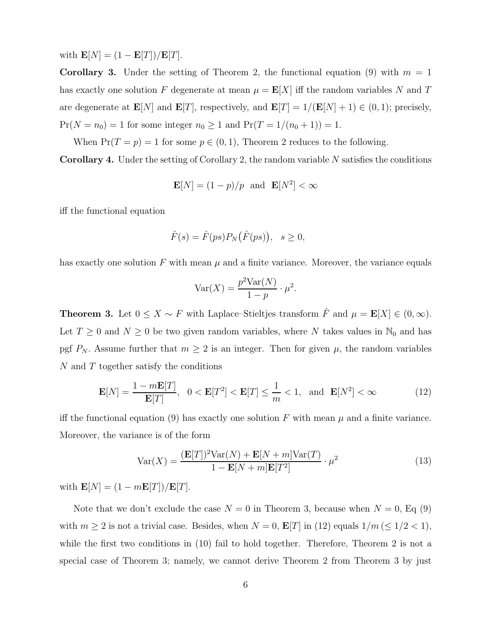with  $\mathbf{E}[N] = (1 - \mathbf{E}[T]) / \mathbf{E}[T]$ .

**Corollary 3.** Under the setting of Theorem 2, the functional equation (9) with  $m = 1$ has exactly one solution F degenerate at mean  $\mu = \mathbf{E}[X]$  iff the random variables N and T are degenerate at  $\mathbf{E}[N]$  and  $\mathbf{E}[T]$ , respectively, and  $\mathbf{E}[T] = 1/(\mathbf{E}[N] + 1) \in (0, 1)$ ; precisely,  $Pr(N = n_0) = 1$  for some integer  $n_0 \ge 1$  and  $Pr(T = 1/(n_0 + 1)) = 1$ .

When  $Pr(T = p) = 1$  for some  $p \in (0, 1)$ , Theorem 2 reduces to the following. **Corollary 4.** Under the setting of Corollary 2, the random variable  $N$  satisfies the conditions

$$
\mathbf{E}[N] = (1 - p)/p \text{ and } \mathbf{E}[N^2] < \infty
$$

iff the functional equation

$$
\hat{F}(s) = \hat{F}(ps)P_N(\hat{F}(ps)), \quad s \ge 0,
$$

has exactly one solution  $F$  with mean  $\mu$  and a finite variance. Moreover, the variance equals

$$
Var(X) = \frac{p^2 Var(N)}{1 - p} \cdot \mu^2.
$$

**Theorem 3.** Let  $0 \le X \sim F$  with Laplace–Stieltjes transform  $\hat{F}$  and  $\mu = \mathbf{E}[X] \in (0, \infty)$ . Let  $T \geq 0$  and  $N \geq 0$  be two given random variables, where N takes values in  $\mathbb{N}_0$  and has pgf  $P_N$ . Assume further that  $m \geq 2$  is an integer. Then for given  $\mu$ , the random variables N and T together satisfy the conditions

$$
\mathbf{E}[N] = \frac{1 - m\mathbf{E}[T]}{\mathbf{E}[T]}, \quad 0 < \mathbf{E}[T^2] < \mathbf{E}[T] \le \frac{1}{m} < 1, \quad \text{and} \quad \mathbf{E}[N^2] < \infty \tag{12}
$$

iff the functional equation (9) has exactly one solution F with mean  $\mu$  and a finite variance. Moreover, the variance is of the form

$$
Var(X) = \frac{(\mathbf{E}[T])^2 Var(N) + \mathbf{E}[N+m]Var(T)}{1 - \mathbf{E}[N+m] \mathbf{E}[T^2]} \cdot \mu^2
$$
\n(13)

with  $\mathbf{E}[N] = (1 - m\mathbf{E}[T])/\mathbf{E}[T]$ .

Note that we don't exclude the case  $N = 0$  in Theorem 3, because when  $N = 0$ , Eq (9) with  $m \geq 2$  is not a trivial case. Besides, when  $N = 0$ ,  $\mathbf{E}[T]$  in (12) equals  $1/m \leq 1/2 < 1$ , while the first two conditions in (10) fail to hold together. Therefore, Theorem 2 is not a special case of Theorem 3; namely, we cannot derive Theorem 2 from Theorem 3 by just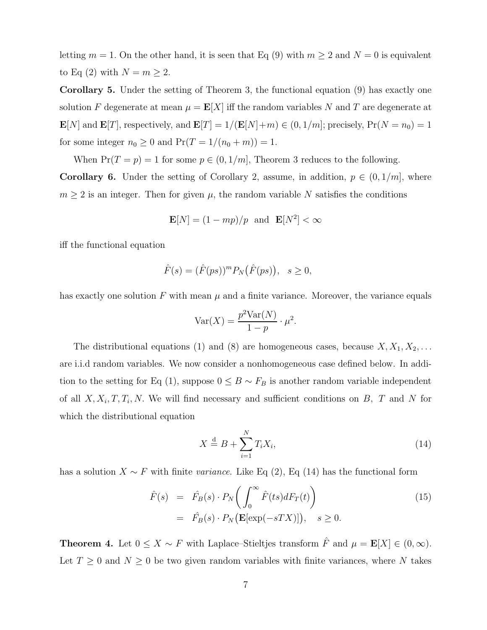letting  $m = 1$ . On the other hand, it is seen that Eq (9) with  $m \ge 2$  and  $N = 0$  is equivalent to Eq (2) with  $N = m \geq 2$ .

Corollary 5. Under the setting of Theorem 3, the functional equation (9) has exactly one solution F degenerate at mean  $\mu = \mathbf{E}[X]$  iff the random variables N and T are degenerate at  $\mathbf{E}[N]$  and  $\mathbf{E}[T]$ , respectively, and  $\mathbf{E}[T] = 1/(\mathbf{E}[N]+m) \in (0, 1/m]$ ; precisely,  $Pr(N = n_0) = 1$ for some integer  $n_0 \geq 0$  and  $Pr(T = 1/(n_0 + m)) = 1$ .

When  $Pr(T = p) = 1$  for some  $p \in (0, 1/m]$ , Theorem 3 reduces to the following.

**Corollary 6.** Under the setting of Corollary 2, assume, in addition,  $p \in (0, 1/m]$ , where  $m \geq 2$  is an integer. Then for given  $\mu$ , the random variable N satisfies the conditions

$$
\mathbf{E}[N] = (1 - mp)/p \text{ and } \mathbf{E}[N^2] < \infty
$$

iff the functional equation

$$
\hat{F}(s) = (\hat{F}(ps))^m P_N(\hat{F}(ps)), \quad s \ge 0,
$$

has exactly one solution  $F$  with mean  $\mu$  and a finite variance. Moreover, the variance equals

$$
Var(X) = \frac{p^2 Var(N)}{1 - p} \cdot \mu^2.
$$

The distributional equations (1) and (8) are homogeneous cases, because  $X, X_1, X_2, \ldots$ are i.i.d random variables. We now consider a nonhomogeneous case defined below. In addition to the setting for Eq (1), suppose  $0 \leq B \sim F_B$  is another random variable independent of all  $X, X_i, T, T_i, N$ . We will find necessary and sufficient conditions on B, T and N for which the distributional equation

$$
X \stackrel{\text{d}}{=} B + \sum_{i=1}^{N} T_i X_i,\tag{14}
$$

has a solution  $X \sim F$  with finite *variance*. Like Eq (2), Eq (14) has the functional form

$$
\hat{F}(s) = \hat{F}_B(s) \cdot P_N \bigg( \int_0^\infty \hat{F}(ts) dF_T(t) \bigg) \n= \hat{F}_B(s) \cdot P_N \big( \mathbf{E}[\exp(-sTX)] \big), \quad s \ge 0.
$$
\n(15)

**Theorem 4.** Let  $0 \leq X \sim F$  with Laplace–Stieltjes transform  $\hat{F}$  and  $\mu = \mathbf{E}[X] \in (0, \infty)$ . Let  $T \geq 0$  and  $N \geq 0$  be two given random variables with finite variances, where N takes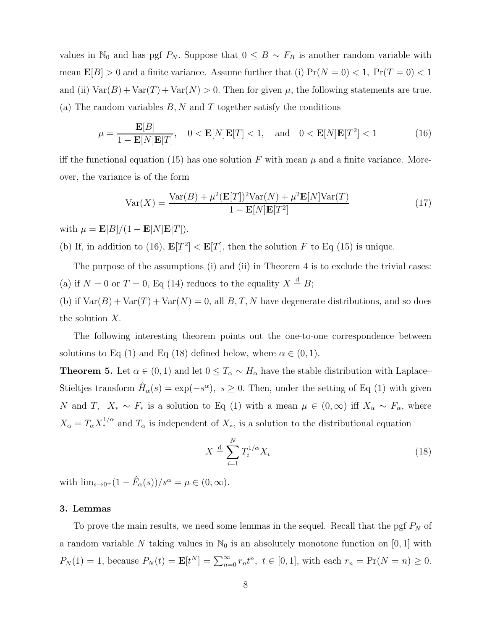values in N<sub>0</sub> and has pgf  $P_N$ . Suppose that  $0 \leq B \sim F_B$  is another random variable with mean  $\mathbf{E}[B] > 0$  and a finite variance. Assume further that (i)  $Pr(N = 0) < 1$ ,  $Pr(T = 0) < 1$ and (ii)  $\text{Var}(B) + \text{Var}(T) + \text{Var}(N) > 0$ . Then for given  $\mu$ , the following statements are true. (a) The random variables  $B, N$  and T together satisfy the conditions

$$
\mu = \frac{\mathbf{E}[B]}{1 - \mathbf{E}[N]\mathbf{E}[T]}, \quad 0 < \mathbf{E}[N]\mathbf{E}[T] < 1, \quad \text{and} \quad 0 < \mathbf{E}[N]\mathbf{E}[T^2] < 1 \tag{16}
$$

iff the functional equation (15) has one solution F with mean  $\mu$  and a finite variance. Moreover, the variance is of the form

$$
Var(X) = \frac{Var(B) + \mu^2 (E[T])^2 Var(N) + \mu^2 E[N] Var(T)}{1 - E[N]E[T^2]}
$$
(17)

with  $\mu = \mathbf{E}[B]/(1 - \mathbf{E}[N]\mathbf{E}[T]).$ 

(b) If, in addition to (16),  $\mathbf{E}[T^2] < \mathbf{E}[T]$ , then the solution F to Eq (15) is unique.

The purpose of the assumptions (i) and (ii) in Theorem 4 is to exclude the trivial cases: (a) if  $N = 0$  or  $T = 0$ , Eq (14) reduces to the equality  $X \stackrel{d}{=} B$ ; (b) if  $Var(B) + Var(T) + Var(N) = 0$ , all B, T, N have degenerate distributions, and so does

The following interesting theorem points out the one-to-one correspondence between solutions to Eq (1) and Eq (18) defined below, where  $\alpha \in (0,1)$ .

**Theorem 5.** Let  $\alpha \in (0, 1)$  and let  $0 \leq T_{\alpha} \sim H_{\alpha}$  have the stable distribution with Laplace– Stieltjes transform  $\hat{H}_{\alpha}(s) = \exp(-s^{\alpha}), s \ge 0$ . Then, under the setting of Eq (1) with given N and T,  $X_* \sim F_*$  is a solution to Eq (1) with a mean  $\mu \in (0, \infty)$  iff  $X_\alpha \sim F_\alpha$ , where  $X_{\alpha} = T_{\alpha} X_{*}^{1/\alpha}$  and  $T_{\alpha}$  is independent of  $X_{*}$ , is a solution to the distributional equation

$$
X \stackrel{\text{d}}{=} \sum_{i=1}^{N} T_i^{1/\alpha} X_i \tag{18}
$$

with  $\lim_{s\to 0^+} (1 - \hat{F}_{\alpha}(s))/s^{\alpha} = \mu \in (0, \infty)$ .

### 3. Lemmas

the solution X.

To prove the main results, we need some lemmas in the sequel. Recall that the pgf  $P_N$  of a random variable N taking values in  $\mathbb{N}_0$  is an absolutely monotone function on [0, 1] with  $P_N(1) = 1$ , because  $P_N(t) = \mathbf{E}[t^N] = \sum_{n=0}^{\infty} r_n t^n$ ,  $t \in [0,1]$ , with each  $r_n = \Pr(N = n) \ge 0$ .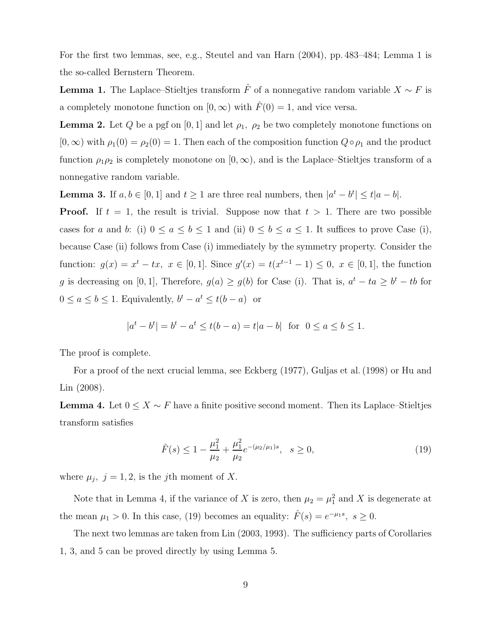For the first two lemmas, see, e.g., Steutel and van Harn (2004), pp. 483–484; Lemma 1 is the so-called Bernstern Theorem.

**Lemma 1.** The Laplace–Stieltjes transform  $\hat{F}$  of a nonnegative random variable  $X \sim F$  is a completely monotone function on  $[0, \infty)$  with  $\hat{F}(0) = 1$ , and vice versa.

**Lemma 2.** Let Q be a pgf on [0, 1] and let  $\rho_1$ ,  $\rho_2$  be two completely monotone functions on  $[0, \infty)$  with  $\rho_1(0) = \rho_2(0) = 1$ . Then each of the composition function  $Q \circ \rho_1$  and the product function  $\rho_1 \rho_2$  is completely monotone on  $[0, \infty)$ , and is the Laplace–Stieltjes transform of a nonnegative random variable.

**Lemma 3.** If  $a, b \in [0, 1]$  and  $t \ge 1$  are three real numbers, then  $|a^t - b^t| \le t|a - b|$ .

**Proof.** If  $t = 1$ , the result is trivial. Suppose now that  $t > 1$ . There are two possible cases for a and b: (i)  $0 \le a \le b \le 1$  and (ii)  $0 \le b \le a \le 1$ . It suffices to prove Case (i), because Case (ii) follows from Case (i) immediately by the symmetry property. Consider the function:  $g(x) = x^t - tx$ ,  $x \in [0,1]$ . Since  $g'(x) = t(x^{t-1} - 1) \leq 0$ ,  $x \in [0,1]$ , the function g is decreasing on [0, 1], Therefore,  $g(a) \ge g(b)$  for Case (i). That is,  $a^t - ta \ge b^t - tb$  for  $0 \le a \le b \le 1$ . Equivalently,  $b^t - a^t \le t(b - a)$  or

$$
|a^t - b^t| = b^t - a^t \le t(b - a) = t|a - b| \text{ for } 0 \le a \le b \le 1.
$$

The proof is complete.

For a proof of the next crucial lemma, see Eckberg (1977), Guljas et al. (1998) or Hu and Lin (2008).

**Lemma 4.** Let  $0 \leq X \sim F$  have a finite positive second moment. Then its Laplace–Stieltjes transform satisfies

$$
\hat{F}(s) \le 1 - \frac{\mu_1^2}{\mu_2} + \frac{\mu_1^2}{\mu_2} e^{-(\mu_2/\mu_1)s}, \quad s \ge 0,
$$
\n(19)

where  $\mu_j$ ,  $j = 1, 2$ , is the jth moment of X.

Note that in Lemma 4, if the variance of X is zero, then  $\mu_2 = \mu_1^2$  and X is degenerate at the mean  $\mu_1 > 0$ . In this case, (19) becomes an equality:  $\hat{F}(s) = e^{-\mu_1 s}$ ,  $s \ge 0$ .

The next two lemmas are taken from Lin (2003, 1993). The sufficiency parts of Corollaries 1, 3, and 5 can be proved directly by using Lemma 5.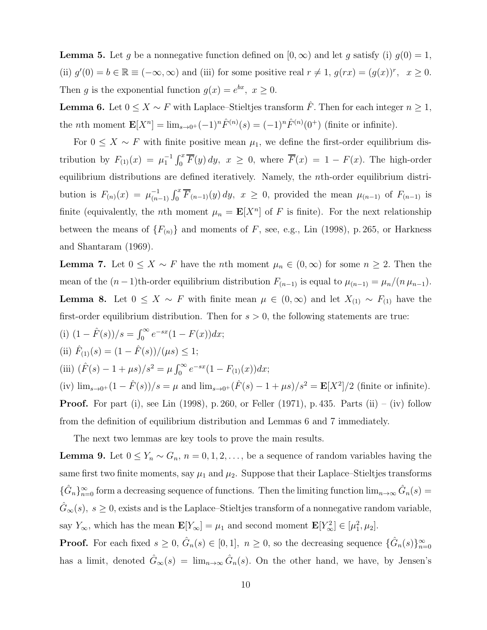**Lemma 5.** Let q be a nonnegative function defined on  $[0, \infty)$  and let q satisfy (i)  $q(0) = 1$ , (ii)  $g'(0) = b \in \mathbb{R} \equiv (-\infty, \infty)$  and (iii) for some positive real  $r \neq 1$ ,  $g(rx) = (g(x))^r$ ,  $x \geq 0$ . Then g is the exponential function  $g(x) = e^{bx}$ ,  $x \ge 0$ .

**Lemma 6.** Let  $0 \le X \sim F$  with Laplace–Stieltjes transform  $\hat{F}$ . Then for each integer  $n \ge 1$ , the *n*th moment  $\mathbf{E}[X^n] = \lim_{s \to 0^+} (-1)^n \hat{F}^{(n)}(s) = (-1)^n \hat{F}^{(n)}(0^+)$  (finite or infinite).

For  $0 \leq X \sim F$  with finite positive mean  $\mu_1$ , we define the first-order equilibrium distribution by  $F_{(1)}(x) = \mu_1^{-1} \int_0^x \overline{F}(y) dy$ ,  $x \ge 0$ , where  $\overline{F}(x) = 1 - F(x)$ . The high-order equilibrium distributions are defined iteratively. Namely, the nth-order equilibrium distribution is  $F_{(n)}(x) = \mu_{(n)}^{-1}$  $\sum_{n=1}^{-1} \int_0^x \overline{F}_{(n-1)}(y) dy$ ,  $x \ge 0$ , provided the mean  $\mu_{(n-1)}$  of  $F_{(n-1)}$  is finite (equivalently, the *n*th moment  $\mu_n = \mathbf{E}[X^n]$  of F is finite). For the next relationship between the means of  ${F_{(n)}}$  and moments of F, see, e.g., Lin (1998), p. 265, or Harkness and Shantaram (1969).

**Lemma 7.** Let  $0 \leq X \sim F$  have the *n*th moment  $\mu_n \in (0, \infty)$  for some  $n \geq 2$ . Then the mean of the  $(n-1)$ th-order equilibrium distribution  $F_{(n-1)}$  is equal to  $\mu_{(n-1)} = \mu_n/(n \mu_{n-1}).$ **Lemma 8.** Let  $0 \leq X \sim F$  with finite mean  $\mu \in (0, \infty)$  and let  $X_{(1)} \sim F_{(1)}$  have the first-order equilibrium distribution. Then for  $s > 0$ , the following statements are true:

(i)  $(1 - \hat{F}(s))/s = \int_0^\infty e^{-sx}(1 - F(x))dx;$ (ii)  $\hat{F}_{(1)}(s) = (1 - \hat{F}(s))/(\mu s) \leq 1;$ (iii)  $(\hat{F}(s) - 1 + \mu s)/s^2 = \mu \int_0^\infty e^{-sx} (1 - F_{(1)}(x)) dx;$ (iv)  $\lim_{s\to 0^+}(1-\hat{F}(s))/s = \mu$  and  $\lim_{s\to 0^+}(\hat{F}(s) - 1 + \mu s)/s^2 = \mathbf{E}[X^2]/2$  (finite or infinite). **Proof.** For part (i), see Lin (1998), p. 260, or Feller (1971), p. 435. Parts (ii) – (iv) follow

from the definition of equilibrium distribution and Lemmas 6 and 7 immediately.

The next two lemmas are key tools to prove the main results.

**Lemma 9.** Let  $0 \le Y_n \sim G_n$ ,  $n = 0, 1, 2, \ldots$ , be a sequence of random variables having the same first two finite moments, say  $\mu_1$  and  $\mu_2$ . Suppose that their Laplace–Stieltjes transforms  ${\{\hat{G}_n\}}_{n=0}^{\infty}$  form a decreasing sequence of functions. Then the limiting function  $\lim_{n\to\infty} \hat{G}_n(s)$  $\hat{G}_{\infty}(s)$ ,  $s \geq 0$ , exists and is the Laplace–Stieltjes transform of a nonnegative random variable, say  $Y_{\infty}$ , which has the mean  $\mathbf{E}[Y_{\infty}] = \mu_1$  and second moment  $\mathbf{E}[Y_{\infty}^2] \in [\mu_1^2, \mu_2]$ .

**Proof.** For each fixed  $s \geq 0$ ,  $\hat{G}_n(s) \in [0,1]$ ,  $n \geq 0$ , so the decreasing sequence  $\{\hat{G}_n(s)\}_{n=0}^{\infty}$ has a limit, denoted  $\hat{G}_{\infty}(s) = \lim_{n \to \infty} \hat{G}_n(s)$ . On the other hand, we have, by Jensen's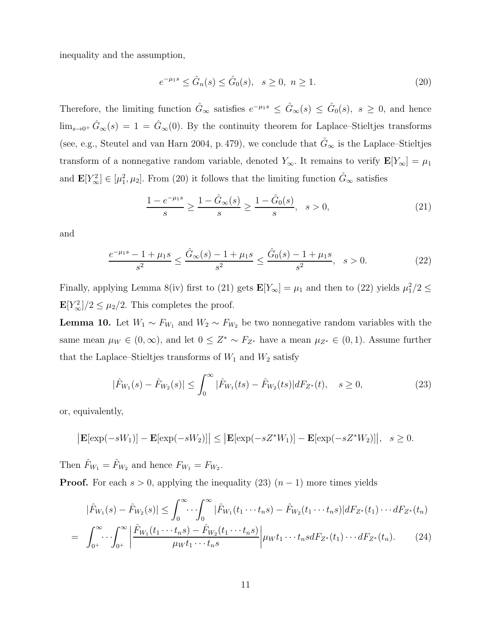inequality and the assumption,

$$
e^{-\mu_1 s} \le \hat{G}_n(s) \le \hat{G}_0(s), \quad s \ge 0, \ n \ge 1. \tag{20}
$$

Therefore, the limiting function  $\hat{G}_{\infty}$  satisfies  $e^{-\mu_1 s} \leq \hat{G}_{\infty}(s) \leq \hat{G}_0(s)$ ,  $s \geq 0$ , and hence  $\lim_{s\to 0^+} \hat{G}_{\infty}(s) = 1 = \hat{G}_{\infty}(0)$ . By the continuity theorem for Laplace–Stieltjes transforms (see, e.g., Steutel and van Harn 2004, p. 479), we conclude that  $\hat{G}_{\infty}$  is the Laplace–Stieltjes transform of a nonnegative random variable, denoted  $Y_{\infty}$ . It remains to verify  $\mathbf{E}[Y_{\infty}] = \mu_1$ and  $\mathbf{E}[Y_{\infty}^2] \in [\mu_1^2, \mu_2]$ . From (20) it follows that the limiting function  $\hat{G}_{\infty}$  satisfies

$$
\frac{1 - e^{-\mu_1 s}}{s} \ge \frac{1 - \hat{G}_{\infty}(s)}{s} \ge \frac{1 - \hat{G}_0(s)}{s}, \quad s > 0,
$$
\n(21)

and

$$
\frac{e^{-\mu_1 s} - 1 + \mu_1 s}{s^2} \le \frac{\hat{G}_{\infty}(s) - 1 + \mu_1 s}{s^2} \le \frac{\hat{G}_0(s) - 1 + \mu_1 s}{s^2}, \quad s > 0.
$$
 (22)

Finally, applying Lemma 8(iv) first to (21) gets  $\mathbf{E}[Y_\infty] = \mu_1$  and then to (22) yields  $\mu_1^2/2 \leq$  $\mathbf{E}[Y_{\infty}^2]/2 \leq \mu_2/2$ . This completes the proof.

**Lemma 10.** Let  $W_1 \sim F_{W_1}$  and  $W_2 \sim F_{W_2}$  be two nonnegative random variables with the same mean  $\mu_W \in (0,\infty)$ , and let  $0 \leq Z^* \sim F_{Z^*}$  have a mean  $\mu_{Z^*} \in (0,1)$ . Assume further that the Laplace–Stieltjes transforms of  $W_1$  and  $W_2$  satisfy

$$
|\hat{F}_{W_1}(s) - \hat{F}_{W_2}(s)| \le \int_0^\infty |\hat{F}_{W_1}(ts) - \hat{F}_{W_2}(ts)| dF_{Z^*}(t), \quad s \ge 0,
$$
\n(23)

or, equivalently,

$$
\left|\mathbf{E}[\exp(-sW_1)] - \mathbf{E}[\exp(-sW_2)]\right| \le \left|\mathbf{E}[\exp(-sZ^*W_1)] - \mathbf{E}[\exp(-sZ^*W_2)]\right|, \quad s \ge 0.
$$

Then  $\hat{F}_{W_1} = \hat{F}_{W_2}$  and hence  $F_{W_1} = F_{W_2}$ .

**Proof.** For each  $s > 0$ , applying the inequality (23)  $(n - 1)$  more times yields

$$
|\hat{F}_{W_1}(s) - \hat{F}_{W_2}(s)| \leq \int_0^\infty \cdots \int_0^\infty |\hat{F}_{W_1}(t_1 \cdots t_n s) - \hat{F}_{W_2}(t_1 \cdots t_n s)| dF_{Z^*}(t_1) \cdots dF_{Z^*}(t_n)
$$
  
= 
$$
\int_{0^+}^\infty \cdots \int_{0^+}^\infty \left| \frac{\hat{F}_{W_1}(t_1 \cdots t_n s) - \hat{F}_{W_2}(t_1 \cdots t_n s)}{\mu_W t_1 \cdots t_n s} \right| \mu_W t_1 \cdots t_n s dF_{Z^*}(t_1) \cdots dF_{Z^*}(t_n).
$$
 (24)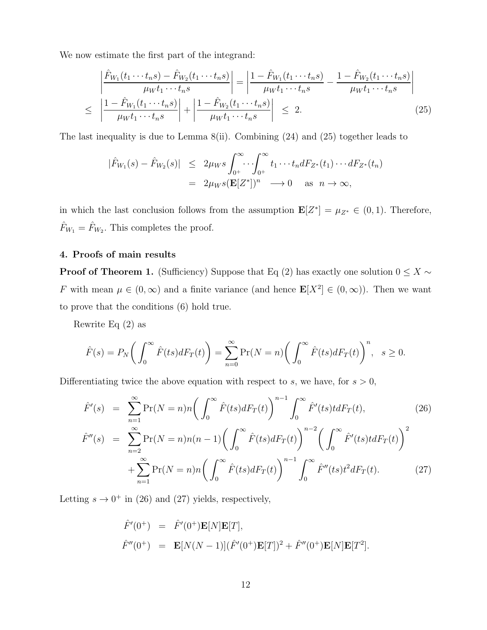We now estimate the first part of the integrand:

$$
\left| \frac{\hat{F}_{W_1}(t_1 \cdots t_n s) - \hat{F}_{W_2}(t_1 \cdots t_n s)}{\mu_W t_1 \cdots t_n s} \right| = \left| \frac{1 - \hat{F}_{W_1}(t_1 \cdots t_n s)}{\mu_W t_1 \cdots t_n s} - \frac{1 - \hat{F}_{W_2}(t_1 \cdots t_n s)}{\mu_W t_1 \cdots t_n s} \right|
$$
\n
$$
\leq \left| \frac{1 - \hat{F}_{W_1}(t_1 \cdots t_n s)}{\mu_W t_1 \cdots t_n s} \right| + \left| \frac{1 - \hat{F}_{W_2}(t_1 \cdots t_n s)}{\mu_W t_1 \cdots t_n s} \right| \leq 2. \tag{25}
$$

The last inequality is due to Lemma 8(ii). Combining (24) and (25) together leads to

$$
|\hat{F}_{W_1}(s) - \hat{F}_{W_2}(s)| \leq 2\mu_W s \int_{0^+}^{\infty} \cdots \int_{0^+}^{\infty} t_1 \cdots t_n dF_{Z^*}(t_1) \cdots dF_{Z^*}(t_n)
$$
  
=  $2\mu_W s(\mathbf{E}[Z^*])^n \longrightarrow 0$  as  $n \to \infty$ ,

in which the last conclusion follows from the assumption  $\mathbf{E}[Z^*] = \mu_{Z^*} \in (0,1)$ . Therefore,  $\hat{F}_{W_1} = \hat{F}_{W_2}$ . This completes the proof.

# 4. Proofs of main results

**Proof of Theorem 1.** (Sufficiency) Suppose that Eq (2) has exactly one solution  $0 \leq X \sim$ F with mean  $\mu \in (0,\infty)$  and a finite variance (and hence  $\mathbf{E}[X^2] \in (0,\infty)$ ). Then we want to prove that the conditions (6) hold true.

Rewrite Eq (2) as

$$
\hat{F}(s) = P_N\bigg(\int_0^\infty \hat{F}(ts) dF_T(t)\bigg) = \sum_{n=0}^\infty \Pr(N = n) \bigg(\int_0^\infty \hat{F}(ts) dF_T(t)\bigg)^n, \quad s \ge 0.
$$

Differentiating twice the above equation with respect to  $s$ , we have, for  $s > 0$ ,

$$
\hat{F}'(s) = \sum_{n=1}^{\infty} \Pr(N = n) n \left( \int_0^{\infty} \hat{F}(ts) dF_T(t) \right)^{n-1} \int_0^{\infty} \hat{F}'(ts) t dF_T(t), \tag{26}
$$
\n
$$
\hat{F}''(s) = \sum_{n=2}^{\infty} \Pr(N = n) n(n-1) \left( \int_0^{\infty} \hat{F}(ts) dF_T(t) \right)^{n-2} \left( \int_0^{\infty} \hat{F}'(ts) t dF_T(t) \right)^2 + \sum_{n=1}^{\infty} \Pr(N = n) n \left( \int_0^{\infty} \hat{F}(ts) dF_T(t) \right)^{n-1} \int_0^{\infty} \hat{F}''(ts) t^2 dF_T(t). \tag{27}
$$

Letting  $s \to 0^+$  in (26) and (27) yields, respectively,

$$
\hat{F}'(0^+) = \hat{F}'(0^+) \mathbf{E}[N] \mathbf{E}[T], \n\hat{F}''(0^+) = \mathbf{E}[N(N-1)](\hat{F}'(0^+) \mathbf{E}[T])^2 + \hat{F}''(0^+) \mathbf{E}[N] \mathbf{E}[T^2].
$$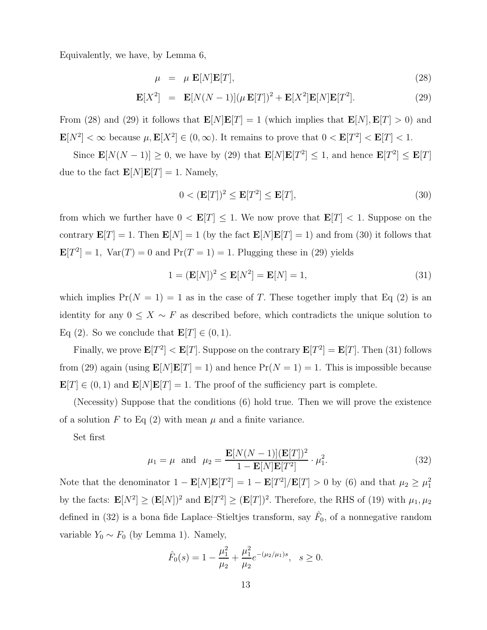Equivalently, we have, by Lemma 6,

$$
\mu = \mu \mathbf{E}[N]\mathbf{E}[T],\tag{28}
$$

$$
\mathbf{E}[X^2] = \mathbf{E}[N(N-1)](\mu \mathbf{E}[T])^2 + \mathbf{E}[X^2]\mathbf{E}[N]\mathbf{E}[T^2].
$$
 (29)

From (28) and (29) it follows that  $\mathbf{E}[N]\mathbf{E}[T] = 1$  (which implies that  $\mathbf{E}[N], \mathbf{E}[T] > 0$ ) and  $\mathbf{E}[N^2] < \infty$  because  $\mu$ ,  $\mathbf{E}[X^2] \in (0, \infty)$ . It remains to prove that  $0 < \mathbf{E}[T^2] < \mathbf{E}[T] < 1$ .

Since  $\mathbf{E}[N(N-1)] \geq 0$ , we have by (29) that  $\mathbf{E}[N]\mathbf{E}[T^2] \leq 1$ , and hence  $\mathbf{E}[T^2] \leq \mathbf{E}[T]$ due to the fact  $\mathbf{E}[N]\mathbf{E}[T] = 1$ . Namely,

$$
0 < (\mathbf{E}[T])^2 \le \mathbf{E}[T^2] \le \mathbf{E}[T],\tag{30}
$$

from which we further have  $0 < E[T] \leq 1$ . We now prove that  $E[T] < 1$ . Suppose on the contrary  $\mathbf{E}[T] = 1$ . Then  $\mathbf{E}[N] = 1$  (by the fact  $\mathbf{E}[N]\mathbf{E}[T] = 1$ ) and from (30) it follows that  $\mathbf{E}[T^2] = 1$ ,  $\text{Var}(T) = 0$  and  $\text{Pr}(T = 1) = 1$ . Plugging these in (29) yields

$$
1 = (\mathbf{E}[N])^2 \le \mathbf{E}[N^2] = \mathbf{E}[N] = 1,\tag{31}
$$

which implies  $Pr(N = 1) = 1$  as in the case of T. These together imply that Eq (2) is an identity for any  $0 \leq X \sim F$  as described before, which contradicts the unique solution to Eq (2). So we conclude that  $\mathbf{E}[T] \in (0,1)$ .

Finally, we prove  $\mathbf{E}[T^2] < \mathbf{E}[T]$ . Suppose on the contrary  $\mathbf{E}[T^2] = \mathbf{E}[T]$ . Then (31) follows from (29) again (using  $\mathbf{E}[N]\mathbf{E}[T] = 1$ ) and hence  $Pr(N = 1) = 1$ . This is impossible because  $\mathbf{E}[T] \in (0,1)$  and  $\mathbf{E}[N]\mathbf{E}[T] = 1$ . The proof of the sufficiency part is complete.

(Necessity) Suppose that the conditions (6) hold true. Then we will prove the existence of a solution F to Eq  $(2)$  with mean  $\mu$  and a finite variance.

Set first

$$
\mu_1 = \mu
$$
 and  $\mu_2 = \frac{\mathbf{E}[N(N-1)](\mathbf{E}[T])^2}{1 - \mathbf{E}[N]\mathbf{E}[T^2]} \cdot \mu_1^2.$  (32)

Note that the denominator  $1 - \mathbf{E}[N]\mathbf{E}[T^2] = 1 - \mathbf{E}[T^2]/\mathbf{E}[T] > 0$  by (6) and that  $\mu_2 \ge \mu_1^2$ by the facts:  $\mathbf{E}[N^2] \geq (\mathbf{E}[N])^2$  and  $\mathbf{E}[T^2] \geq (\mathbf{E}[T])^2$ . Therefore, the RHS of (19) with  $\mu_1, \mu_2$ defined in (32) is a bona fide Laplace–Stieltjes transform, say  $\hat{F}_0$ , of a nonnegative random variable  $Y_0 \sim F_0$  (by Lemma 1). Namely,

$$
\hat{F}_0(s) = 1 - \frac{\mu_1^2}{\mu_2} + \frac{\mu_1^2}{\mu_2} e^{-(\mu_2/\mu_1)s}, \quad s \ge 0.
$$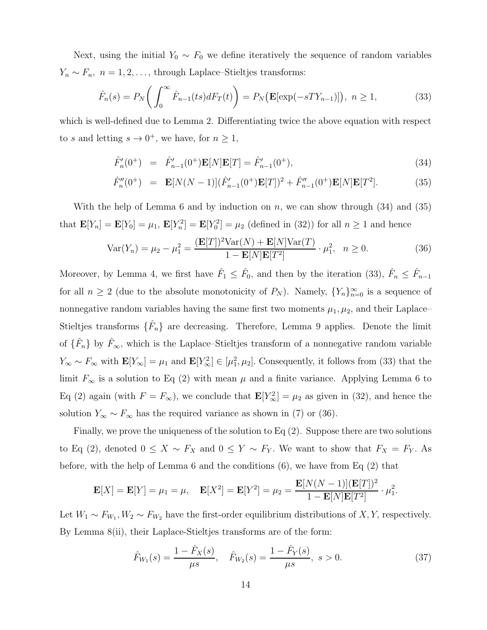Next, using the initial  $Y_0 \sim F_0$  we define iteratively the sequence of random variables  $Y_n \sim F_n$ ,  $n = 1, 2, \ldots$ , through Laplace–Stieltjes transforms:

$$
\hat{F}_n(s) = P_N\bigg(\int_0^\infty \hat{F}_{n-1}(ts) dF_T(t)\bigg) = P_N\big(\mathbf{E}[\exp(-sT Y_{n-1})]\big), \ n \ge 1,\tag{33}
$$

which is well-defined due to Lemma 2. Differentiating twice the above equation with respect to s and letting  $s \to 0^+$ , we have, for  $n \geq 1$ ,

$$
\hat{F}'_n(0^+) = \hat{F}'_{n-1}(0^+) \mathbf{E}[N] \mathbf{E}[T] = \hat{F}'_{n-1}(0^+), \tag{34}
$$

$$
\hat{F}_n''(0^+) = \mathbf{E}[N(N-1)](\hat{F}_{n-1}'(0^+) \mathbf{E}[T])^2 + \hat{F}_{n-1}''(0^+) \mathbf{E}[N] \mathbf{E}[T^2]. \tag{35}
$$

With the help of Lemma 6 and by induction on n, we can show through  $(34)$  and  $(35)$ that  $\mathbf{E}[Y_n] = \mathbf{E}[Y_0] = \mu_1, \, \mathbf{E}[Y_n^2] = \mathbf{E}[Y_0^2] = \mu_2$  (defined in (32)) for all  $n \ge 1$  and hence

$$
Var(Y_n) = \mu_2 - \mu_1^2 = \frac{(\mathbf{E}[T])^2 Var(N) + \mathbf{E}[N]Var(T)}{1 - \mathbf{E}[N]E[T^2]} \cdot \mu_1^2, \ \ n \ge 0. \tag{36}
$$

Moreover, by Lemma 4, we first have  $\hat{F}_1 \leq \hat{F}_0$ , and then by the iteration (33),  $\hat{F}_n \leq \hat{F}_{n-1}$ for all  $n \geq 2$  (due to the absolute monotonicity of  $P_N$ ). Namely,  $\{Y_n\}_{n=0}^{\infty}$  is a sequence of nonnegative random variables having the same first two moments  $\mu_1, \mu_2$ , and their Laplace– Stieltjes transforms  $\{\hat{F}_n\}$  are decreasing. Therefore, Lemma 9 applies. Denote the limit of  $\{\hat{F}_n\}$  by  $\hat{F}_{\infty}$ , which is the Laplace–Stieltjes transform of a nonnegative random variable  $Y_{\infty} \sim F_{\infty}$  with  $\mathbf{E}[Y_{\infty}] = \mu_1$  and  $\mathbf{E}[Y_{\infty}^2] \in [\mu_1^2, \mu_2]$ . Consequently, it follows from (33) that the limit  $F_{\infty}$  is a solution to Eq (2) with mean  $\mu$  and a finite variance. Applying Lemma 6 to Eq (2) again (with  $F = F_{\infty}$ ), we conclude that  $\mathbf{E}[Y_{\infty}^2] = \mu_2$  as given in (32), and hence the solution  $Y_{\infty} \sim F_{\infty}$  has the required variance as shown in (7) or (36).

Finally, we prove the uniqueness of the solution to Eq (2). Suppose there are two solutions to Eq (2), denoted  $0 \le X \sim F_X$  and  $0 \le Y \sim F_Y$ . We want to show that  $F_X = F_Y$ . As before, with the help of Lemma 6 and the conditions (6), we have from Eq (2) that

$$
\mathbf{E}[X] = \mathbf{E}[Y] = \mu_1 = \mu, \quad \mathbf{E}[X^2] = \mathbf{E}[Y^2] = \mu_2 = \frac{\mathbf{E}[N(N-1)](\mathbf{E}[T])^2}{1 - \mathbf{E}[N]\mathbf{E}[T^2]} \cdot \mu_1^2.
$$

Let  $W_1 \sim F_{W_1}, W_2 \sim F_{W_2}$  have the first-order equilibrium distributions of X, Y, respectively. By Lemma 8(ii), their Laplace-Stieltjes transforms are of the form:

$$
\hat{F}_{W_1}(s) = \frac{1 - \hat{F}_X(s)}{\mu s}, \quad \hat{F}_{W_2}(s) = \frac{1 - \hat{F}_Y(s)}{\mu s}, \ s > 0.
$$
\n(37)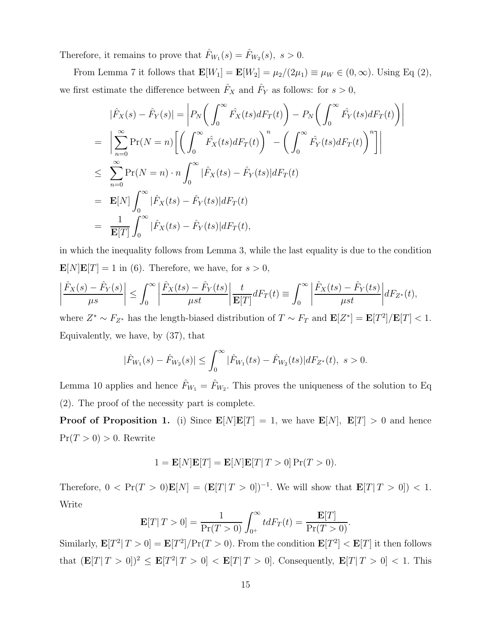Therefore, it remains to prove that  $\hat{F}_{W_1}(s) = \hat{F}_{W_2}(s)$ ,  $s > 0$ .

From Lemma 7 it follows that  $\mathbf{E}[W_1] = \mathbf{E}[W_2] = \mu_2/(2\mu_1) \equiv \mu_W \in (0, \infty)$ . Using Eq (2), we first estimate the difference between  $\hat{F}_X$  and  $\hat{F}_Y$  as follows: for  $s > 0$ ,

$$
|\hat{F}_X(s) - \hat{F}_Y(s)| = \left| P_N\left(\int_0^\infty \hat{F}_X(ts) dF_T(t)\right) - P_N\left(\int_0^\infty \hat{F}_Y(ts) dF_T(t)\right) \right|
$$
  
\n
$$
= \left| \sum_{n=0}^\infty \Pr(N = n) \left[ \left(\int_0^\infty \hat{F}_X(ts) dF_T(t)\right)^n - \left(\int_0^\infty \hat{F}_Y(ts) dF_T(t)\right)^n \right] \right|
$$
  
\n
$$
\leq \sum_{n=0}^\infty \Pr(N = n) \cdot n \int_0^\infty |\hat{F}_X(ts) - \hat{F}_Y(ts)| dF_T(t)
$$
  
\n
$$
= \mathbf{E}[N] \int_0^\infty |\hat{F}_X(ts) - \hat{F}_Y(ts)| dF_T(t)
$$
  
\n
$$
= \frac{1}{\mathbf{E}[T]} \int_0^\infty |\hat{F}_X(ts) - \hat{F}_Y(ts)| dF_T(t),
$$

in which the inequality follows from Lemma 3, while the last equality is due to the condition  $\mathbf{E}[N]\mathbf{E}[T] = 1$  in (6). Therefore, we have, for  $s > 0$ ,

$$
\left|\frac{\hat{F}_X(s) - \hat{F}_Y(s)}{\mu s}\right| \leq \int_0^\infty \left|\frac{\hat{F}_X(ts) - \hat{F}_Y(ts)}{\mu st}\right| \frac{t}{\mathbf{E}[T]} dF_T(t) \equiv \int_0^\infty \left|\frac{\hat{F}_X(ts) - \hat{F}_Y(ts)}{\mu st}\right| dF_{Z^*}(t),
$$

where  $Z^* \sim F_{Z^*}$  has the length-biased distribution of  $T \sim F_T$  and  $\mathbf{E}[Z^*] = \mathbf{E}[T^2]/\mathbf{E}[T] < 1$ . Equivalently, we have, by (37), that

$$
|\hat{F}_{W_1}(s) - \hat{F}_{W_2}(s)| \leq \int_0^\infty |\hat{F}_{W_1}(ts) - \hat{F}_{W_2}(ts)| dF_{Z^*}(t), \ s > 0.
$$

Lemma 10 applies and hence  $\hat{F}_{W_1} = \hat{F}_{W_2}$ . This proves the uniqueness of the solution to Eq. (2). The proof of the necessity part is complete.

**Proof of Proposition 1.** (i) Since  $\mathbf{E}[N]\mathbf{E}[T] = 1$ , we have  $\mathbf{E}[N]$ ,  $\mathbf{E}[T] > 0$  and hence  $Pr(T > 0) > 0$ . Rewrite

$$
1 = \mathbf{E}[N]\mathbf{E}[T] = \mathbf{E}[N]\mathbf{E}[T|T>0]\Pr(T>0).
$$

Therefore,  $0 < \Pr(T > 0) \mathbf{E}[N] = (\mathbf{E}[T | T > 0])^{-1}$ . We will show that  $\mathbf{E}[T | T > 0] < 1$ . Write

$$
\mathbf{E}[T|T>0] = \frac{1}{\Pr(T>0)} \int_{0^+}^{\infty} t dF_T(t) = \frac{\mathbf{E}[T]}{\Pr(T>0)}.
$$

Similarly,  $\mathbf{E}[T^2 | T > 0] = \mathbf{E}[T^2] / \Pr(T > 0)$ . From the condition  $\mathbf{E}[T^2] < \mathbf{E}[T]$  it then follows that  $(\mathbf{E}[T | T > 0])^2 \leq \mathbf{E}[T^2 | T > 0] < \mathbf{E}[T | T > 0]$ . Consequently,  $\mathbf{E}[T | T > 0] < 1$ . This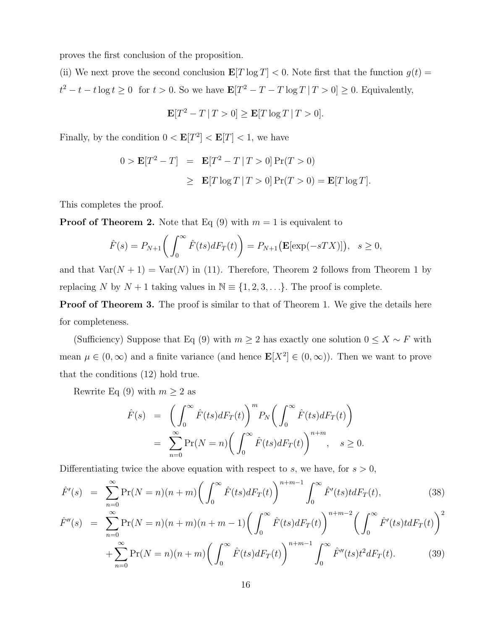proves the first conclusion of the proposition.

(ii) We next prove the second conclusion  $\mathbf{E}[T \log T] < 0$ . Note first that the function  $g(t) =$  $t^2 - t - t \log t \ge 0$  for  $t > 0$ . So we have  $\mathbf{E}[T^2 - T - T \log T | T > 0] \ge 0$ . Equivalently,

$$
\mathbf{E}[T^2 - T | T > 0] \ge \mathbf{E}[T \log T | T > 0].
$$

Finally, by the condition  $0 < E[T^2] < E[T] < 1$ , we have

$$
0 > \mathbf{E}[T^2 - T] = \mathbf{E}[T^2 - T | T > 0] \Pr(T > 0)
$$
  
\n
$$
\geq \mathbf{E}[T \log T | T > 0] \Pr(T > 0) = \mathbf{E}[T \log T].
$$

This completes the proof.

**Proof of Theorem 2.** Note that Eq  $(9)$  with  $m = 1$  is equivalent to

$$
\hat{F}(s) = P_{N+1}\bigg(\int_0^\infty \hat{F}(ts)dF_T(t)\bigg) = P_{N+1}\big(\mathbf{E}[\exp(-sTX)]\big), \quad s \ge 0,
$$

and that  $Var(N + 1) = Var(N)$  in (11). Therefore, Theorem 2 follows from Theorem 1 by replacing N by  $N + 1$  taking values in  $\mathbb{N} \equiv \{1, 2, 3, \ldots\}$ . The proof is complete.

**Proof of Theorem 3.** The proof is similar to that of Theorem 1. We give the details here for completeness.

(Sufficiency) Suppose that Eq (9) with  $m \geq 2$  has exactly one solution  $0 \leq X \sim F$  with mean  $\mu \in (0, \infty)$  and a finite variance (and hence  $\mathbf{E}[X^2] \in (0, \infty)$ ). Then we want to prove that the conditions (12) hold true.

Rewrite Eq (9) with  $m \geq 2$  as

$$
\hat{F}(s) = \left(\int_0^\infty \hat{F}(ts) dF_T(t)\right)^m P_N\left(\int_0^\infty \hat{F}(ts) dF_T(t)\right)
$$
  
= 
$$
\sum_{n=0}^\infty \Pr(N = n) \left(\int_0^\infty \hat{F}(ts) dF_T(t)\right)^{n+m}, \quad s \ge 0.
$$

Differentiating twice the above equation with respect to s, we have, for  $s > 0$ ,

$$
\hat{F}'(s) = \sum_{n=0}^{\infty} \Pr(N=n)(n+m) \left( \int_0^{\infty} \hat{F}(ts) dF_T(t) \right)^{n+m-1} \int_0^{\infty} \hat{F}'(ts) t dF_T(t), \tag{38}
$$

$$
\hat{F}''(s) = \sum_{n=0}^{\infty} \Pr(N = n)(n+m)(n+m-1) \left( \int_0^{\infty} \hat{F}(ts) dF_T(t) \right)^{n+m-2} \left( \int_0^{\infty} \hat{F}'(ts) t dF_T(t) \right)^2 \n+ \sum_{n=0}^{\infty} \Pr(N = n)(n+m) \left( \int_0^{\infty} \hat{F}(ts) dF_T(t) \right)^{n+m-1} \int_0^{\infty} \hat{F}''(ts) t^2 dF_T(t).
$$
\n(39)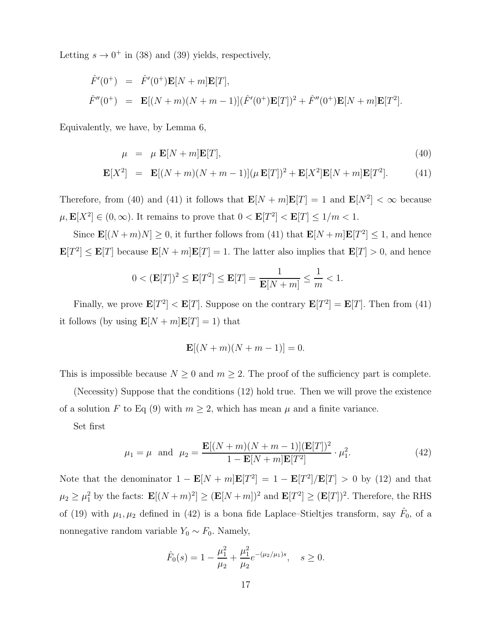Letting  $s \to 0^+$  in (38) and (39) yields, respectively,

$$
\hat{F}'(0^+) = \hat{F}'(0^+) \mathbf{E}[N+m] \mathbf{E}[T], \n\hat{F}''(0^+) = \mathbf{E}[(N+m)(N+m-1)](\hat{F}'(0^+) \mathbf{E}[T])^2 + \hat{F}''(0^+) \mathbf{E}[N+m] \mathbf{E}[T^2].
$$

Equivalently, we have, by Lemma 6,

$$
\mu = \mu \mathbf{E}[N+m]\mathbf{E}[T],\tag{40}
$$

$$
\mathbf{E}[X^2] = \mathbf{E}[(N+m)(N+m-1)](\mu \mathbf{E}[T])^2 + \mathbf{E}[X^2]\mathbf{E}[N+m]\mathbf{E}[T^2].
$$
 (41)

Therefore, from (40) and (41) it follows that  $\mathbf{E}[N+m]\mathbf{E}[T] = 1$  and  $\mathbf{E}[N^2] < \infty$  because  $\mu, \mathbf{E}[X^2] \in (0, \infty)$ . It remains to prove that  $0 < \mathbf{E}[T^2] < \mathbf{E}[T] \le 1/m < 1$ .

Since  $\mathbf{E}[(N+m)N] \geq 0$ , it further follows from (41) that  $\mathbf{E}[N+m]\mathbf{E}[T^2] \leq 1$ , and hence  $\mathbf{E}[T^2] \leq \mathbf{E}[T]$  because  $\mathbf{E}[N+m]\mathbf{E}[T] = 1$ . The latter also implies that  $\mathbf{E}[T] > 0$ , and hence

$$
0 < (\mathbf{E}[T])^2 \le \mathbf{E}[T^2] \le \mathbf{E}[T] = \frac{1}{\mathbf{E}[N+m]} \le \frac{1}{m} < 1.
$$

Finally, we prove  $\mathbf{E}[T^2] < \mathbf{E}[T]$ . Suppose on the contrary  $\mathbf{E}[T^2] = \mathbf{E}[T]$ . Then from (41) it follows (by using  $\mathbf{E}[N+m]\mathbf{E}[T] = 1$ ) that

$$
\mathbf{E}[(N+m)(N+m-1)]=0.
$$

This is impossible because  $N \geq 0$  and  $m \geq 2$ . The proof of the sufficiency part is complete.

(Necessity) Suppose that the conditions (12) hold true. Then we will prove the existence of a solution F to Eq (9) with  $m \geq 2$ , which has mean  $\mu$  and a finite variance.

Set first

$$
\mu_1 = \mu \text{ and } \mu_2 = \frac{\mathbf{E}[(N+m)(N+m-1)](\mathbf{E}[T])^2}{1 - \mathbf{E}[N+m]\mathbf{E}[T^2]} \cdot \mu_1^2.
$$
 (42)

Note that the denominator  $1 - \mathbf{E}[N+m]\mathbf{E}[T^2] = 1 - \mathbf{E}[T^2]/\mathbf{E}[T] > 0$  by (12) and that  $\mu_2 \geq \mu_1^2$  by the facts:  $\mathbf{E}[(N+m)^2] \geq (\mathbf{E}[N+m])^2$  and  $\mathbf{E}[T^2] \geq (\mathbf{E}[T])^2$ . Therefore, the RHS of (19) with  $\mu_1, \mu_2$  defined in (42) is a bona fide Laplace–Stieltjes transform, say  $\hat{F}_0$ , of a nonnegative random variable  $Y_0 \sim F_0$ . Namely,

$$
\hat{F}_0(s) = 1 - \frac{\mu_1^2}{\mu_2} + \frac{\mu_1^2}{\mu_2} e^{-(\mu_2/\mu_1)s}, \quad s \ge 0.
$$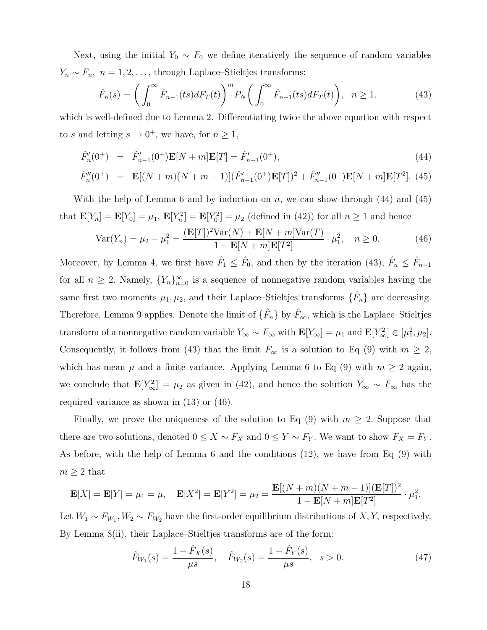Next, using the initial  $Y_0 \sim F_0$  we define iteratively the sequence of random variables  $Y_n \sim F_n$ ,  $n = 1, 2, \ldots$ , through Laplace–Stieltjes transforms:

$$
\hat{F}_n(s) = \left(\int_0^\infty \hat{F}_{n-1}(ts) dF_T(t)\right)^m P_N\left(\int_0^\infty \hat{F}_{n-1}(ts) dF_T(t)\right), \quad n \ge 1,
$$
\n(43)

which is well-defined due to Lemma 2. Differentiating twice the above equation with respect to s and letting  $s \to 0^+$ , we have, for  $n \geq 1$ ,

$$
\hat{F}'_n(0^+) = \hat{F}'_{n-1}(0^+) \mathbf{E}[N+m] \mathbf{E}[T] = \hat{F}'_{n-1}(0^+), \tag{44}
$$

$$
\hat{F}_n''(0^+) = \mathbf{E}[(N+m)(N+m-1)](\hat{F}_{n-1}'(0^+) \mathbf{E}[T])^2 + \hat{F}_{n-1}''(0^+) \mathbf{E}[N+m] \mathbf{E}[T^2]. \tag{45}
$$

With the help of Lemma 6 and by induction on n, we can show through  $(44)$  and  $(45)$ that  $\mathbf{E}[Y_n] = \mathbf{E}[Y_0] = \mu_1, \, \mathbf{E}[Y_n^2] = \mathbf{E}[Y_0^2] = \mu_2$  (defined in (42)) for all  $n \ge 1$  and hence

$$
Var(Y_n) = \mu_2 - \mu_1^2 = \frac{(\mathbf{E}[T])^2 Var(N) + \mathbf{E}[N+m]Var(T)}{1 - \mathbf{E}[N+m] \mathbf{E}[T^2]} \cdot \mu_1^2, \quad n \ge 0.
$$
 (46)

Moreover, by Lemma 4, we first have  $\hat{F}_1 \leq \hat{F}_0$ , and then by the iteration (43),  $\hat{F}_n \leq \hat{F}_{n-1}$ for all  $n \geq 2$ . Namely,  ${Y_n}_{n=0}^{\infty}$  is a sequence of nonnegative random variables having the same first two moments  $\mu_1, \mu_2$ , and their Laplace–Stieltjes transforms  $\{\hat{F}_n\}$  are decreasing. Therefore, Lemma 9 applies. Denote the limit of  $\{\hat{F}_n\}$  by  $\hat{F}_{\infty}$ , which is the Laplace–Stieltjes transform of a nonnegative random variable  $Y_{\infty} \sim F_{\infty}$  with  $\mathbf{E}[Y_{\infty}] = \mu_1$  and  $\mathbf{E}[Y_{\infty}^2] \in [\mu_1^2, \mu_2]$ . Consequently, it follows from (43) that the limit  $F_{\infty}$  is a solution to Eq (9) with  $m \geq 2$ , which has mean  $\mu$  and a finite variance. Applying Lemma 6 to Eq (9) with  $m \geq 2$  again, we conclude that  $\mathbf{E}[Y_{\infty}^2] = \mu_2$  as given in (42), and hence the solution  $Y_{\infty} \sim F_{\infty}$  has the required variance as shown in (13) or (46).

Finally, we prove the uniqueness of the solution to Eq  $(9)$  with  $m \geq 2$ . Suppose that there are two solutions, denoted  $0 \leq X \sim F_X$  and  $0 \leq Y \sim F_Y$ . We want to show  $F_X = F_Y$ . As before, with the help of Lemma 6 and the conditions (12), we have from Eq (9) with  $m \geq 2$  that

$$
\mathbf{E}[X] = \mathbf{E}[Y] = \mu_1 = \mu, \quad \mathbf{E}[X^2] = \mathbf{E}[Y^2] = \mu_2 = \frac{\mathbf{E}[(N+m)(N+m-1)](\mathbf{E}[T])^2}{1-\mathbf{E}[N+m]\mathbf{E}[T^2]} \cdot \mu_1^2.
$$

Let  $W_1 \sim F_{W_1}, W_2 \sim F_{W_2}$  have the first-order equilibrium distributions of X, Y, respectively. By Lemma 8(ii), their Laplace–Stieltjes transforms are of the form:

$$
\hat{F}_{W_1}(s) = \frac{1 - \hat{F}_X(s)}{\mu s}, \quad \hat{F}_{W_2}(s) = \frac{1 - \hat{F}_Y(s)}{\mu s}, \quad s > 0.
$$
\n(47)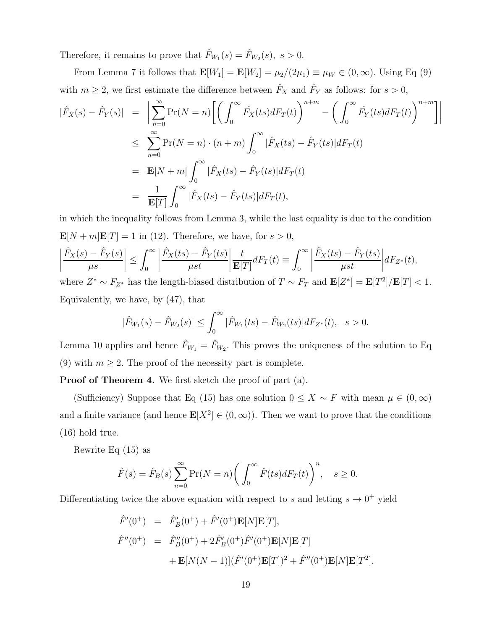Therefore, it remains to prove that  $\hat{F}_{W_1}(s) = \hat{F}_{W_2}(s)$ ,  $s > 0$ .

From Lemma 7 it follows that  $\mathbf{E}[W_1] = \mathbf{E}[W_2] = \mu_2/(2\mu_1) \equiv \mu_W \in (0, \infty)$ . Using Eq (9) with  $m \geq 2$ , we first estimate the difference between  $\hat{F}_X$  and  $\hat{F}_Y$  as follows: for  $s > 0$ ,

$$
\begin{aligned}\n|\hat{F}_X(s) - \hat{F}_Y(s)| &= \left| \sum_{n=0}^{\infty} \Pr(N = n) \left[ \left( \int_0^{\infty} \hat{F}_X(ts) dF_T(t) \right)^{n+m} - \left( \int_0^{\infty} \hat{F}_Y(ts) dF_T(t) \right)^{n+m} \right] \right| \\
&\leq \sum_{n=0}^{\infty} \Pr(N = n) \cdot (n+m) \int_0^{\infty} |\hat{F}_X(ts) - \hat{F}_Y(ts)| dF_T(t) \\
&= \mathbf{E}[N+m] \int_0^{\infty} |\hat{F}_X(ts) - \hat{F}_Y(ts)| dF_T(t) \\
&= \frac{1}{\mathbf{E}[T]} \int_0^{\infty} |\hat{F}_X(ts) - \hat{F}_Y(ts)| dF_T(t),\n\end{aligned}
$$

in which the inequality follows from Lemma 3, while the last equality is due to the condition  $\mathbf{E}[N+m]\mathbf{E}[T] = 1$  in (12). Therefore, we have, for  $s > 0$ ,  $\hat{F}_X(s)-\hat{F}_Y(s)$  $\mu s$  $\begin{array}{c} \n\end{array}$  $\leq \int_{0}^{\infty}$ 0  $\begin{array}{c} \n\end{array}$  $\hat{F}_X(ts)-\hat{F}_Y(ts)$  $\mu st$  $\begin{array}{c} \n\end{array}$ t  $\frac{c}{\mathbf{E}[T]}dF_T(t)\equiv$  $\int^{\infty}$  $\boldsymbol{0}$   $\hat{F}_X(ts) - \hat{F}_Y(ts)$  $\mu st$   $dF_{Z^*}(t)$ , where  $Z^* \sim F_{Z^*}$  has the length-biased distribution of  $T \sim F_T$  and  $\mathbf{E}[Z^*] = \mathbf{E}[T^2]/\mathbf{E}[T] < 1$ .

Equivalently, we have, by (47), that

$$
|\hat{F}_{W_1}(s) - \hat{F}_{W_2}(s)| \leq \int_0^\infty |\hat{F}_{W_1}(ts) - \hat{F}_{W_2}(ts)| dF_{Z^*}(t), \quad s > 0.
$$

Lemma 10 applies and hence  $\hat{F}_{W_1} = \hat{F}_{W_2}$ . This proves the uniqueness of the solution to Eq. (9) with  $m \geq 2$ . The proof of the necessity part is complete.

Proof of Theorem 4. We first sketch the proof of part (a).

(Sufficiency) Suppose that Eq (15) has one solution  $0 \leq X \sim F$  with mean  $\mu \in (0, \infty)$ and a finite variance (and hence  $\mathbf{E}[X^2] \in (0,\infty)$ ). Then we want to prove that the conditions (16) hold true.

Rewrite Eq (15) as

$$
\hat{F}(s) = \hat{F}_B(s) \sum_{n=0}^{\infty} \Pr(N = n) \bigg( \int_0^{\infty} \hat{F}(ts) dF_T(t) \bigg)^n, \quad s \ge 0.
$$

Differentiating twice the above equation with respect to s and letting  $s \to 0^+$  yield

$$
\hat{F}'(0^+) = \hat{F}'_B(0^+) + \hat{F}'(0^+) \mathbf{E}[N] \mathbf{E}[T],
$$
  
\n
$$
\hat{F}''(0^+) = \hat{F}''_B(0^+) + 2\hat{F}'_B(0^+) \hat{F}'(0^+) \mathbf{E}[N] \mathbf{E}[T]
$$
  
\n
$$
+ \mathbf{E}[N(N-1)] (\hat{F}'(0^+) \mathbf{E}[T])^2 + \hat{F}''(0^+) \mathbf{E}[N] \mathbf{E}[T^2].
$$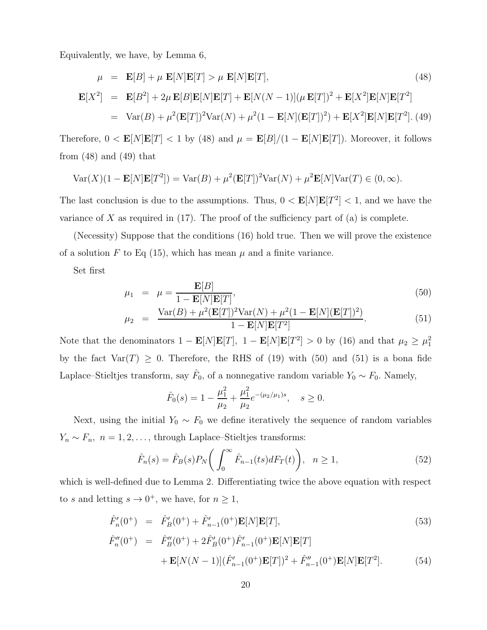Equivalently, we have, by Lemma 6,

$$
\mu = \mathbf{E}[B] + \mu \mathbf{E}[N]\mathbf{E}[T] > \mu \mathbf{E}[N]\mathbf{E}[T],
$$
\n(48)  
\n
$$
\mathbf{E}[X^2] = \mathbf{E}[B^2] + 2\mu \mathbf{E}[B]\mathbf{E}[N]\mathbf{E}[T] + \mathbf{E}[N(N-1)](\mu \mathbf{E}[T])^2 + \mathbf{E}[X^2]\mathbf{E}[N]\mathbf{E}[T^2]
$$
\n
$$
= \text{Var}(B) + \mu^2(\mathbf{E}[T])^2\text{Var}(N) + \mu^2(1 - \mathbf{E}[N](\mathbf{E}[T])^2) + \mathbf{E}[X^2]\mathbf{E}[N]\mathbf{E}[T^2].
$$
\n(49)

Therefore,  $0 < \mathbf{E}[N]\mathbf{E}[T] < 1$  by (48) and  $\mu = \mathbf{E}[B]/(1 - \mathbf{E}[N]\mathbf{E}[T])$ . Moreover, it follows from  $(48)$  and  $(49)$  that

$$
\text{Var}(X)(1 - \mathbf{E}[N]\mathbf{E}[T^2]) = \text{Var}(B) + \mu^2(\mathbf{E}[T])^2 \text{Var}(N) + \mu^2 \mathbf{E}[N] \text{Var}(T) \in (0, \infty).
$$

The last conclusion is due to the assumptions. Thus,  $0 < E[N]E[T^2] < 1$ , and we have the variance of X as required in  $(17)$ . The proof of the sufficiency part of  $(a)$  is complete.

(Necessity) Suppose that the conditions (16) hold true. Then we will prove the existence of a solution F to Eq (15), which has mean  $\mu$  and a finite variance.

Set first

$$
\mu_1 = \mu = \frac{\mathbf{E}[B]}{1 - \mathbf{E}[N]\mathbf{E}[T]},
$$
\n
$$
V_{\mu}(B) = \frac{2(\mathbf{E}[T])^2 V_{\mu}(N)}{2} + \frac{2(1 - \mathbf{E}[N](\mathbf{E}[T]))^2}{2}
$$
\n(50)

$$
\mu_2 = \frac{\text{Var}(B) + \mu^2 (\mathbf{E}[T])^2 \text{Var}(N) + \mu^2 (1 - \mathbf{E}[N](\mathbf{E}[T])^2)}{1 - \mathbf{E}[N]\mathbf{E}[T^2]}.
$$
(51)

Note that the denominators  $1 - \mathbf{E}[N]\mathbf{E}[T]$ ,  $1 - \mathbf{E}[N]\mathbf{E}[T^2] > 0$  by (16) and that  $\mu_2 \ge \mu_1^2$ by the fact  $Var(T) \geq 0$ . Therefore, the RHS of (19) with (50) and (51) is a bona fide Laplace–Stieltjes transform, say  $\hat{F}_0$ , of a nonnegative random variable  $Y_0 \sim F_0$ . Namely,

$$
\hat{F}_0(s) = 1 - \frac{\mu_1^2}{\mu_2} + \frac{\mu_1^2}{\mu_2} e^{-(\mu_2/\mu_1)s}, \quad s \ge 0.
$$

Next, using the initial  $Y_0 \sim F_0$  we define iteratively the sequence of random variables  $Y_n \sim F_n$ ,  $n = 1, 2, \ldots$ , through Laplace–Stieltjes transforms:

$$
\hat{F}_n(s) = \hat{F}_B(s) P_N\bigg(\int_0^\infty \hat{F}_{n-1}(ts) dF_T(t)\bigg), \quad n \ge 1,
$$
\n(52)

which is well-defined due to Lemma 2. Differentiating twice the above equation with respect to s and letting  $s \to 0^+$ , we have, for  $n \geq 1$ ,

$$
\hat{F}'_n(0^+) = \hat{F}'_B(0^+) + \hat{F}'_{n-1}(0^+) \mathbf{E}[N] \mathbf{E}[T],
$$
\n(53)

$$
\hat{F}_{n}''(0^{+}) = \hat{F}_{B}''(0^{+}) + 2\hat{F}_{B}'(0^{+})\hat{F}_{n-1}'(0^{+})\mathbf{E}[N]\mathbf{E}[T] \n+ \mathbf{E}[N(N-1)](\hat{F}_{n-1}'(0^{+})\mathbf{E}[T])^{2} + \hat{F}_{n-1}''(0^{+})\mathbf{E}[N]\mathbf{E}[T^{2}].
$$
\n(54)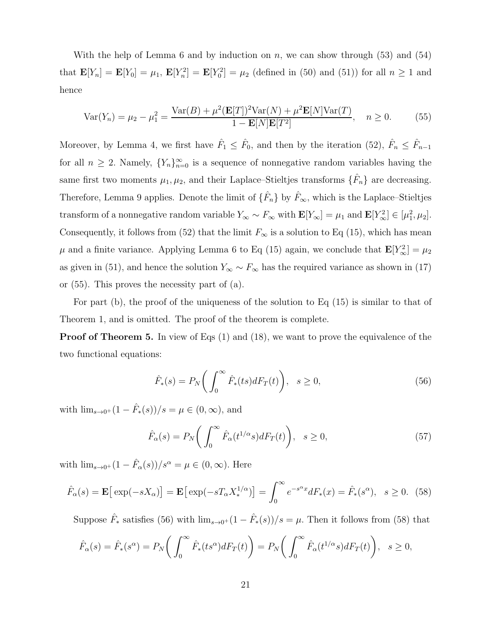With the help of Lemma 6 and by induction on n, we can show through (53) and (54) that  $\mathbf{E}[Y_n] = \mathbf{E}[Y_0] = \mu_1$ ,  $\mathbf{E}[Y_n^2] = \mathbf{E}[Y_0^2] = \mu_2$  (defined in (50) and (51)) for all  $n \ge 1$  and hence

$$
Var(Y_n) = \mu_2 - \mu_1^2 = \frac{Var(B) + \mu^2 (E[T])^2 Var(N) + \mu^2 E[N] Var(T)}{1 - E[N]E[T^2]}, \quad n \ge 0.
$$
 (55)

Moreover, by Lemma 4, we first have  $\hat{F}_1 \leq \hat{F}_0$ , and then by the iteration (52),  $\hat{F}_n \leq \hat{F}_{n-1}$ for all  $n \geq 2$ . Namely,  ${Y_n}_{n=0}^{\infty}$  is a sequence of nonnegative random variables having the same first two moments  $\mu_1, \mu_2$ , and their Laplace–Stieltjes transforms  $\{\hat{F}_n\}$  are decreasing. Therefore, Lemma 9 applies. Denote the limit of  $\{\hat{F}_n\}$  by  $\hat{F}_{\infty}$ , which is the Laplace–Stieltjes transform of a nonnegative random variable  $Y_{\infty} \sim F_{\infty}$  with  $\mathbf{E}[Y_{\infty}] = \mu_1$  and  $\mathbf{E}[Y_{\infty}^2] \in [\mu_1^2, \mu_2]$ . Consequently, it follows from (52) that the limit  $F_{\infty}$  is a solution to Eq (15), which has mean  $\mu$  and a finite variance. Applying Lemma 6 to Eq (15) again, we conclude that  $\mathbf{E}[Y_{\infty}^2] = \mu_2$ as given in (51), and hence the solution  $Y_{\infty} \sim F_{\infty}$  has the required variance as shown in (17) or (55). This proves the necessity part of (a).

For part (b), the proof of the uniqueness of the solution to Eq (15) is similar to that of Theorem 1, and is omitted. The proof of the theorem is complete.

**Proof of Theorem 5.** In view of Eqs (1) and (18), we want to prove the equivalence of the two functional equations:

$$
\hat{F}_*(s) = P_N\bigg(\int_0^\infty \hat{F}_*(ts)dF_T(t)\bigg), \quad s \ge 0,
$$
\n(56)

with  $\lim_{s \to 0^+} (1 - \hat{F}_*(s))/s = \mu \in (0, \infty)$ , and

$$
\hat{F}_{\alpha}(s) = P_N\bigg(\int_0^\infty \hat{F}_{\alpha}(t^{1/\alpha}s)dF_T(t)\bigg), \quad s \ge 0,
$$
\n(57)

with  $\lim_{s\to 0^+} (1 - \hat{F}_{\alpha}(s))/s^{\alpha} = \mu \in (0, \infty)$ . Here

$$
\hat{F}_{\alpha}(s) = \mathbf{E}\left[\exp(-sX_{\alpha})\right] = \mathbf{E}\left[\exp(-sX_{\alpha}X_{*}^{1/\alpha})\right] = \int_{0}^{\infty} e^{-s^{\alpha}x} dF_{*}(x) = \hat{F}_{*}(s^{\alpha}), \quad s \ge 0. \tag{58}
$$

Suppose  $\hat{F}_*$  satisfies (56) with  $\lim_{s\to 0^+}(1-\hat{F}_*(s))/s=\mu$ . Then it follows from (58) that

$$
\hat{F}_{\alpha}(s) = \hat{F}_{*}(s^{\alpha}) = P_{N}\bigg(\int_{0}^{\infty} \hat{F}_{*}(ts^{\alpha})dF_{T}(t)\bigg) = P_{N}\bigg(\int_{0}^{\infty} \hat{F}_{\alpha}(t^{1/\alpha}s)dF_{T}(t)\bigg), \quad s \ge 0,
$$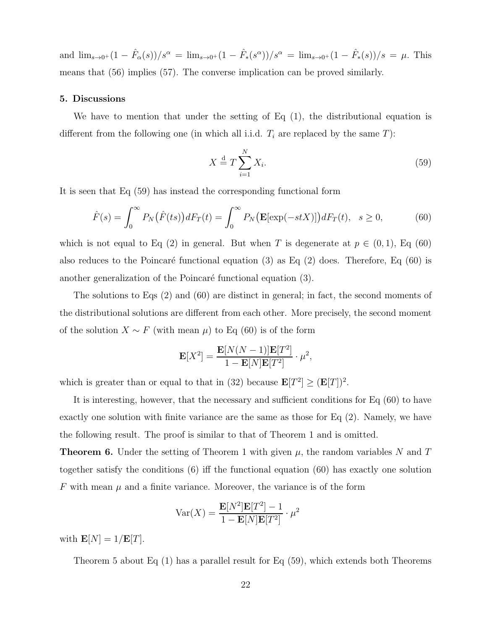and  $\lim_{s\to 0^+}(1-\hat{F}_{\alpha}(s))/s^{\alpha} = \lim_{s\to 0^+}(1-\hat{F}_{*}(s^{\alpha}))/s^{\alpha} = \lim_{s\to 0^+}(1-\hat{F}_{*}(s))/s = \mu$ . This means that (56) implies (57). The converse implication can be proved similarly.

#### 5. Discussions

We have to mention that under the setting of Eq (1), the distributional equation is different from the following one (in which all i.i.d.  $T_i$  are replaced by the same  $T$ ):

$$
X \stackrel{\text{d}}{=} T \sum_{i=1}^{N} X_i. \tag{59}
$$

It is seen that Eq (59) has instead the corresponding functional form

$$
\hat{F}(s) = \int_0^\infty P_N(\hat{F}(ts))dF_T(t) = \int_0^\infty P_N(\mathbf{E}[\exp(-stX)])dF_T(t), \quad s \ge 0,
$$
\n(60)

which is not equal to Eq (2) in general. But when T is degenerate at  $p \in (0,1)$ , Eq (60) also reduces to the Poincaré functional equation (3) as Eq  $(2)$  does. Therefore, Eq  $(60)$  is another generalization of the Poincaré functional equation (3).

The solutions to Eqs (2) and (60) are distinct in general; in fact, the second moments of the distributional solutions are different from each other. More precisely, the second moment of the solution  $X \sim F$  (with mean  $\mu$ ) to Eq (60) is of the form

$$
\mathbf{E}[X^2] = \frac{\mathbf{E}[N(N-1)]\mathbf{E}[T^2]}{1 - \mathbf{E}[N]\mathbf{E}[T^2]} \cdot \mu^2,
$$

which is greater than or equal to that in (32) because  $\mathbf{E}[T^2] \geq (\mathbf{E}[T])^2$ .

It is interesting, however, that the necessary and sufficient conditions for Eq (60) to have exactly one solution with finite variance are the same as those for Eq (2). Namely, we have the following result. The proof is similar to that of Theorem 1 and is omitted.

**Theorem 6.** Under the setting of Theorem 1 with given  $\mu$ , the random variables N and T together satisfy the conditions (6) iff the functional equation (60) has exactly one solution  $F$  with mean  $\mu$  and a finite variance. Moreover, the variance is of the form

$$
Var(X) = \frac{\mathbf{E}[N^2]\mathbf{E}[T^2] - 1}{1 - \mathbf{E}[N]\mathbf{E}[T^2]} \cdot \mu^2
$$

with  $\mathbf{E}[N]=1/\mathbf{E}[T].$ 

Theorem 5 about Eq (1) has a parallel result for Eq (59), which extends both Theorems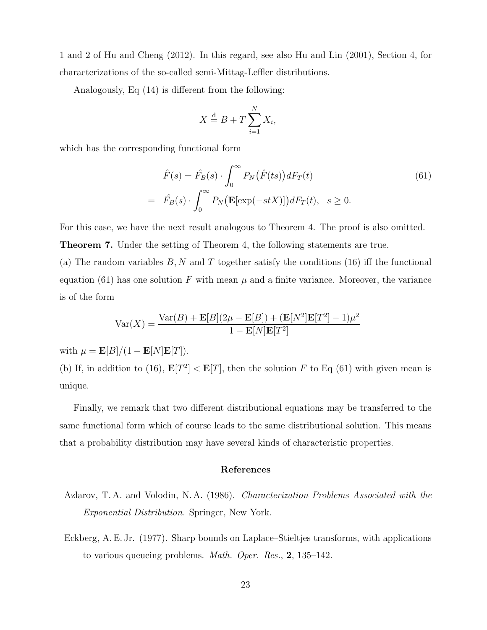1 and 2 of Hu and Cheng (2012). In this regard, see also Hu and Lin (2001), Section 4, for characterizations of the so-called semi-Mittag-Leffler distributions.

Analogously, Eq (14) is different from the following:

$$
X \stackrel{\text{d}}{=} B + T \sum_{i=1}^{N} X_i,
$$

which has the corresponding functional form

$$
\hat{F}(s) = \hat{F}_B(s) \cdot \int_0^\infty P_N(\hat{F}(ts))dF_T(t)
$$
\n
$$
= \hat{F}_B(s) \cdot \int_0^\infty P_N(\mathbf{E}[\exp(-stX)])dF_T(t), \quad s \ge 0.
$$
\n(61)

For this case, we have the next result analogous to Theorem 4. The proof is also omitted.

Theorem 7. Under the setting of Theorem 4, the following statements are true.

(a) The random variables  $B, N$  and T together satisfy the conditions (16) iff the functional equation (61) has one solution F with mean  $\mu$  and a finite variance. Moreover, the variance is of the form

$$
Var(X) = \frac{Var(B) + \mathbf{E}[B](2\mu - \mathbf{E}[B]) + (\mathbf{E}[N^2]\mathbf{E}[T^2] - 1)\mu^2}{1 - \mathbf{E}[N]\mathbf{E}[T^2]}
$$

with  $\mu = \mathbf{E}[B]/(1 - \mathbf{E}[N]\mathbf{E}[T]).$ 

(b) If, in addition to (16),  $\mathbf{E}[T^2] < \mathbf{E}[T]$ , then the solution F to Eq (61) with given mean is unique.

Finally, we remark that two different distributional equations may be transferred to the same functional form which of course leads to the same distributional solution. This means that a probability distribution may have several kinds of characteristic properties.

### References

- Azlarov, T. A. and Volodin, N. A. (1986). Characterization Problems Associated with the Exponential Distribution. Springer, New York.
- Eckberg, A. E. Jr. (1977). Sharp bounds on Laplace–Stieltjes transforms, with applications to various queueing problems. Math. Oper. Res., 2, 135–142.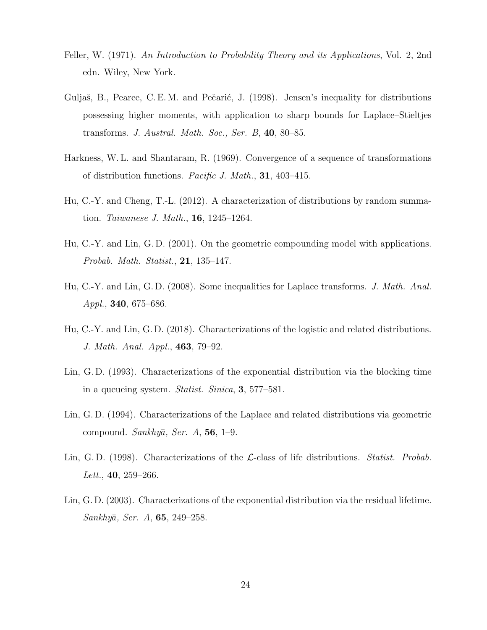- Feller, W. (1971). An Introduction to Probability Theory and its Applications, Vol. 2, 2nd edn. Wiley, New York.
- Guljaš, B., Pearce, C. E. M. and Pečarić, J. (1998). Jensen's inequality for distributions possessing higher moments, with application to sharp bounds for Laplace–Stieltjes transforms. J. Austral. Math. Soc., Ser. B,  $40, 80-85$ .
- Harkness, W. L. and Shantaram, R. (1969). Convergence of a sequence of transformations of distribution functions. Pacific J. Math., 31, 403–415.
- Hu, C.-Y. and Cheng, T.-L. (2012). A characterization of distributions by random summation. Taiwanese J. Math., 16, 1245–1264.
- Hu, C.-Y. and Lin, G. D. (2001). On the geometric compounding model with applications. Probab. Math. Statist., 21, 135–147.
- Hu, C.-Y. and Lin, G. D. (2008). Some inequalities for Laplace transforms. J. Math. Anal. Appl., 340, 675–686.
- Hu, C.-Y. and Lin, G. D. (2018). Characterizations of the logistic and related distributions. J. Math. Anal. Appl., 463, 79–92.
- Lin, G. D. (1993). Characterizations of the exponential distribution via the blocking time in a queueing system. Statist. Sinica, 3, 577–581.
- Lin, G. D. (1994). Characterizations of the Laplace and related distributions via geometric compound. Sankhyā, Ser. A,  $56$ , 1–9.
- Lin, G. D. (1998). Characterizations of the  $\mathcal{L}\text{-class}$  of life distributions. Statist. Probab. Lett., **40**, 259–266.
- Lin, G. D. (2003). Characterizations of the exponential distribution via the residual lifetime.  $Sankhy\bar{a}$ , Ser. A, **65**, 249–258.